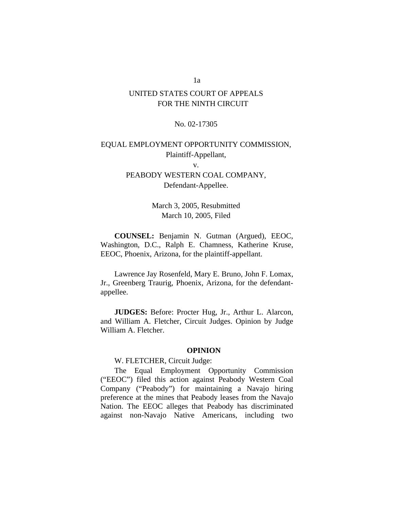# UNITED STATES COURT OF APPEALS FOR THE NINTH CIRCUIT

## No. 02-17305

# EQUAL EMPLOYMENT OPPORTUNITY COMMISSION, Plaintiff-Appellant,

v.

# PEABODY WESTERN COAL COMPANY, Defendant-Appellee.

March 3, 2005, Resubmitted March 10, 2005, Filed

**COUNSEL:** Benjamin N. Gutman (Argued), EEOC, Washington, D.C., Ralph E. Chamness, Katherine Kruse, EEOC, Phoenix, Arizona, for the plaintiff-appellant.

Lawrence Jay Rosenfeld, Mary E. Bruno, John F. Lomax, Jr., Greenberg Traurig, Phoenix, Arizona, for the defendantappellee.

**JUDGES:** Before: Procter Hug, Jr., Arthur L. Alarcon, and William A. Fletcher, Circuit Judges. Opinion by Judge William A. Fletcher.

## **OPINION**

## W. FLETCHER, Circuit Judge:

The Equal Employment Opportunity Commission ("EEOC") filed this action against Peabody Western Coal Company ("Peabody") for maintaining a Navajo hiring preference at the mines that Peabody leases from the Navajo Nation. The EEOC alleges that Peabody has discriminated against non-Navajo Native Americans, including two

1a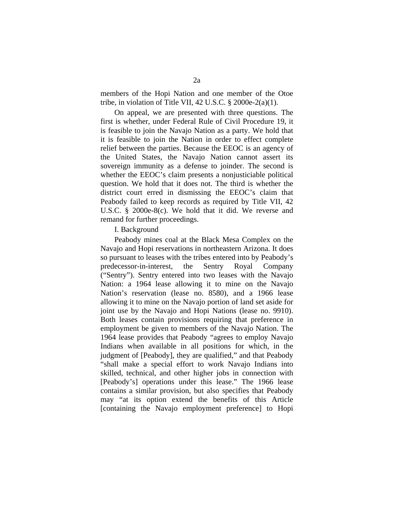members of the Hopi Nation and one member of the Otoe tribe, in violation of Title VII, 42 U.S.C. § 2000e-2(a)(1).

On appeal, we are presented with three questions. The first is whether, under Federal Rule of Civil Procedure 19, it is feasible to join the Navajo Nation as a party. We hold that it is feasible to join the Nation in order to effect complete relief between the parties. Because the EEOC is an agency of the United States, the Navajo Nation cannot assert its sovereign immunity as a defense to joinder. The second is whether the EEOC's claim presents a nonjusticiable political question. We hold that it does not. The third is whether the district court erred in dismissing the EEOC's claim that Peabody failed to keep records as required by Title VII, 42 U.S.C. § 2000e-8(c). We hold that it did. We reverse and remand for further proceedings.

#### I. Background

Peabody mines coal at the Black Mesa Complex on the Navajo and Hopi reservations in northeastern Arizona. It does so pursuant to leases with the tribes entered into by Peabody's predecessor-in-interest, the Sentry Royal Company ("Sentry"). Sentry entered into two leases with the Navajo Nation: a 1964 lease allowing it to mine on the Navajo Nation's reservation (lease no. 8580), and a 1966 lease allowing it to mine on the Navajo portion of land set aside for joint use by the Navajo and Hopi Nations (lease no. 9910). Both leases contain provisions requiring that preference in employment be given to members of the Navajo Nation. The 1964 lease provides that Peabody "agrees to employ Navajo Indians when available in all positions for which, in the judgment of [Peabody], they are qualified," and that Peabody "shall make a special effort to work Navajo Indians into skilled, technical, and other higher jobs in connection with [Peabody's] operations under this lease." The 1966 lease contains a similar provision, but also specifies that Peabody may "at its option extend the benefits of this Article [containing the Navajo employment preference] to Hopi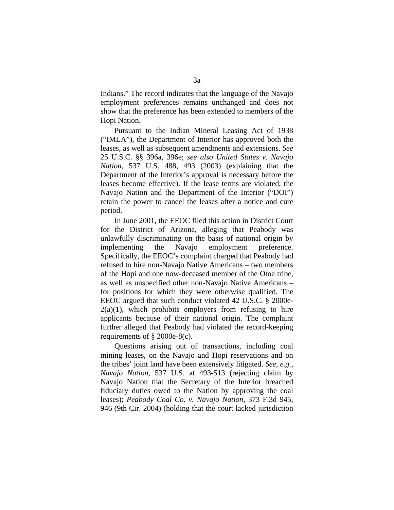Indians." The record indicates that the language of the Navajo employment preferences remains unchanged and does not show that the preference has been extended to members of the Hopi Nation.

Pursuant to the Indian Mineral Leasing Act of 1938 ("IMLA"), the Department of Interior has approved both the leases, as well as subsequent amendments and extensions. *See* 25 U.S.C. §§ 396a, 396e; *see also United States v. Navajo Nation*, 537 U.S. 488, 493 (2003) (explaining that the Department of the Interior's approval is necessary before the leases become effective). If the lease terms are violated, the Navajo Nation and the Department of the Interior ("DOI") retain the power to cancel the leases after a notice and cure period.

In June 2001, the EEOC filed this action in District Court for the District of Arizona, alleging that Peabody was unlawfully discriminating on the basis of national origin by implementing the Navajo employment preference. Specifically, the EEOC's complaint charged that Peabody had refused to hire non-Navajo Native Americans – two members of the Hopi and one now-deceased member of the Otoe tribe, as well as unspecified other non-Navajo Native Americans – for positions for which they were otherwise qualified. The EEOC argued that such conduct violated 42 U.S.C. § 2000e- $2(a)(1)$ , which prohibits employers from refusing to hire applicants because of their national origin. The complaint further alleged that Peabody had violated the record-keeping requirements of § 2000e-8(c).

Questions arising out of transactions, including coal mining leases, on the Navajo and Hopi reservations and on the tribes' joint land have been extensively litigated. *See*, *e.g.*, *Navajo Nation*, 537 U.S. at 493-513 (rejecting claim by Navajo Nation that the Secretary of the Interior breached fiduciary duties owed to the Nation by approving the coal leases); *Peabody Coal Co. v. Navajo Nation*, 373 F.3d 945, 946 (9th Cir. 2004) (holding that the court lacked jurisdiction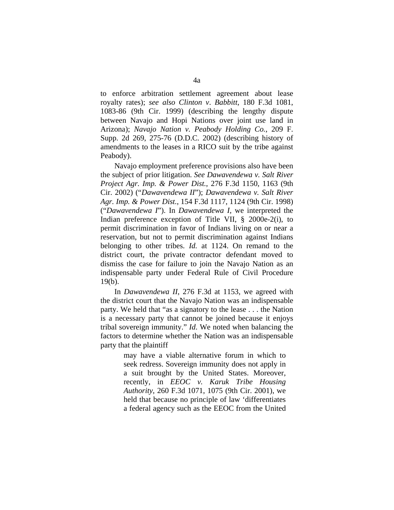to enforce arbitration settlement agreement about lease royalty rates); *see also Clinton v*. *Babbitt*, 180 F.3d 1081, 1083-86 (9th Cir. 1999) (describing the lengthy dispute between Navajo and Hopi Nations over joint use land in Arizona); *Navajo Nation v. Peabody Holding Co.*, 209 F. Supp. 2d 269, 275-76 (D.D.C. 2002) (describing history of amendments to the leases in a RICO suit by the tribe against Peabody).

Navajo employment preference provisions also have been the subject of prior litigation. *See Dawavendewa v. Salt River Project Agr. Imp. & Power Dist.*, 276 F.3d 1150, 1163 (9th Cir. 2002) ("*Dawavendewa II*"); *Dawavendewa v. Salt River Agr. Imp. & Power Dist.*, 154 F.3d 1117, 1124 (9th Cir. 1998) ("*Dawavendewa I*"). In *Dawavendewa I*, we interpreted the Indian preference exception of Title VII, § 2000e-2(i), to permit discrimination in favor of Indians living on or near a reservation, but not to permit discrimination against Indians belonging to other tribes. *Id.* at 1124. On remand to the district court, the private contractor defendant moved to dismiss the case for failure to join the Navajo Nation as an indispensable party under Federal Rule of Civil Procedure 19(b).

In *Dawavendewa II*, 276 F.3d at 1153, we agreed with the district court that the Navajo Nation was an indispensable party. We held that "as a signatory to the lease . . . the Nation is a necessary party that cannot be joined because it enjoys tribal sovereign immunity." *Id*. We noted when balancing the factors to determine whether the Nation was an indispensable party that the plaintiff

> may have a viable alternative forum in which to seek redress. Sovereign immunity does not apply in a suit brought by the United States. Moreover, recently, in *EEOC v. Karuk Tribe Housing Authority*, 260 F.3d 1071, 1075 (9th Cir. 2001), we held that because no principle of law 'differentiates a federal agency such as the EEOC from the United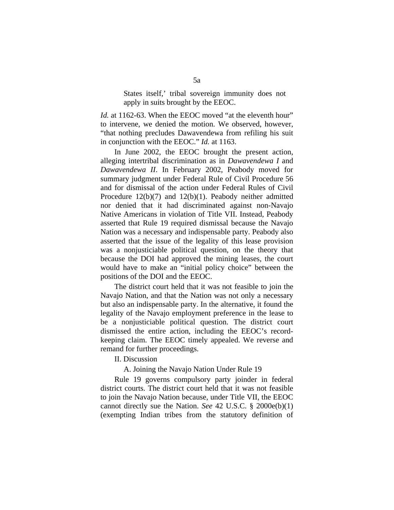States itself,' tribal sovereign immunity does not apply in suits brought by the EEOC.

*Id.* at 1162-63. When the EEOC moved "at the eleventh hour" to intervene, we denied the motion. We observed, however, "that nothing precludes Dawavendewa from refiling his suit in conjunction with the EEOC." *Id.* at 1163.

In June 2002, the EEOC brought the present action, alleging intertribal discrimination as in *Dawavendewa I* and *Dawavendewa II*. In February 2002, Peabody moved for summary judgment under Federal Rule of Civil Procedure 56 and for dismissal of the action under Federal Rules of Civil Procedure 12(b)(7) and 12(b)(1). Peabody neither admitted nor denied that it had discriminated against non-Navajo Native Americans in violation of Title VII. Instead, Peabody asserted that Rule 19 required dismissal because the Navajo Nation was a necessary and indispensable party. Peabody also asserted that the issue of the legality of this lease provision was a nonjusticiable political question, on the theory that because the DOI had approved the mining leases, the court would have to make an "initial policy choice" between the positions of the DOI and the EEOC.

The district court held that it was not feasible to join the Navajo Nation, and that the Nation was not only a necessary but also an indispensable party. In the alternative, it found the legality of the Navajo employment preference in the lease to be a nonjusticiable political question. The district court dismissed the entire action, including the EEOC's recordkeeping claim. The EEOC timely appealed. We reverse and remand for further proceedings.

II. Discussion

A. Joining the Navajo Nation Under Rule 19

Rule 19 governs compulsory party joinder in federal district courts. The district court held that it was not feasible to join the Navajo Nation because, under Title VII, the EEOC cannot directly sue the Nation. *See* 42 U.S.C. § 2000e(b)(1) (exempting Indian tribes from the statutory definition of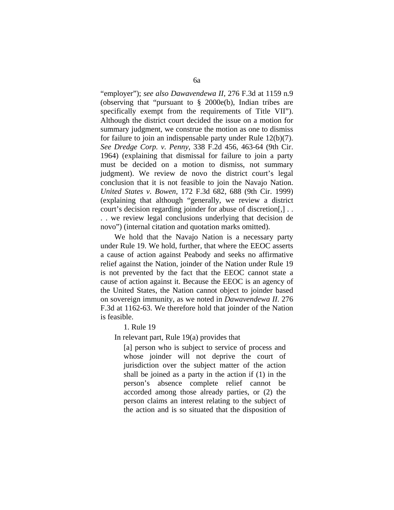"employer"); *see also Dawavendewa II*, 276 F.3d at 1159 n.9 (observing that "pursuant to § 2000e(b), Indian tribes are specifically exempt from the requirements of Title VII"). Although the district court decided the issue on a motion for summary judgment, we construe the motion as one to dismiss for failure to join an indispensable party under Rule 12(b)(7). *See Dredge Corp. v. Penny*, 338 F.2d 456, 463-64 (9th Cir. 1964) (explaining that dismissal for failure to join a party must be decided on a motion to dismiss, not summary judgment). We review de novo the district court's legal conclusion that it is not feasible to join the Navajo Nation. *United States v. Bowen*, 172 F.3d 682, 688 (9th Cir. 1999) (explaining that although "generally, we review a district court's decision regarding joinder for abuse of discretion[,] . . . . we review legal conclusions underlying that decision de novo") (internal citation and quotation marks omitted).

We hold that the Navajo Nation is a necessary party under Rule 19. We hold, further, that where the EEOC asserts a cause of action against Peabody and seeks no affirmative relief against the Nation, joinder of the Nation under Rule 19 is not prevented by the fact that the EEOC cannot state a cause of action against it. Because the EEOC is an agency of the United States, the Nation cannot object to joinder based on sovereign immunity, as we noted in *Dawavendewa II*. 276 F.3d at 1162-63. We therefore hold that joinder of the Nation is feasible.

1. Rule 19

In relevant part, Rule 19(a) provides that

[a] person who is subject to service of process and whose joinder will not deprive the court of jurisdiction over the subject matter of the action shall be joined as a party in the action if (1) in the person's absence complete relief cannot be accorded among those already parties, or (2) the person claims an interest relating to the subject of the action and is so situated that the disposition of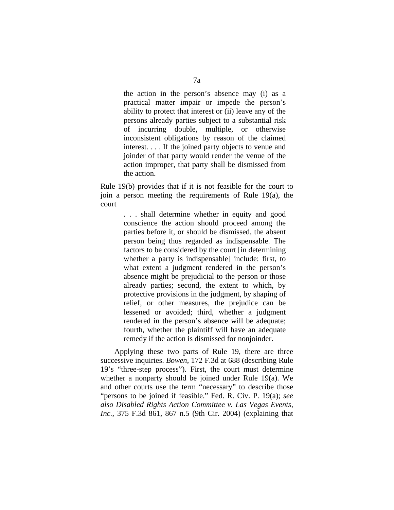the action in the person's absence may (i) as a practical matter impair or impede the person's ability to protect that interest or (ii) leave any of the persons already parties subject to a substantial risk of incurring double, multiple, or otherwise inconsistent obligations by reason of the claimed interest. . . . If the joined party objects to venue and joinder of that party would render the venue of the action improper, that party shall be dismissed from the action.

Rule 19(b) provides that if it is not feasible for the court to join a person meeting the requirements of Rule 19(a), the court

> . . . shall determine whether in equity and good conscience the action should proceed among the parties before it, or should be dismissed, the absent person being thus regarded as indispensable. The factors to be considered by the court [in determining whether a party is indispensable] include: first, to what extent a judgment rendered in the person's absence might be prejudicial to the person or those already parties; second, the extent to which, by protective provisions in the judgment, by shaping of relief, or other measures, the prejudice can be lessened or avoided; third, whether a judgment rendered in the person's absence will be adequate; fourth, whether the plaintiff will have an adequate remedy if the action is dismissed for nonjoinder.

Applying these two parts of Rule 19, there are three successive inquiries. *Bowen*, 172 F.3d at 688 (describing Rule 19's "three-step process"). First, the court must determine whether a nonparty should be joined under Rule 19(a). We and other courts use the term "necessary" to describe those "persons to be joined if feasible." Fed. R. Civ. P. 19(a); *see also Disabled Rights Action Committee v. Las Vegas Events, Inc.*, 375 F.3d 861, 867 n.5 (9th Cir. 2004) (explaining that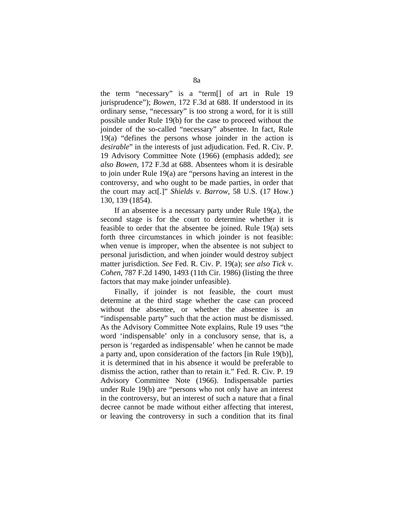the term "necessary" is a "term[] of art in Rule 19 jurisprudence"); *Bowen*, 172 F.3d at 688. If understood in its ordinary sense, "necessary" is too strong a word, for it is still possible under Rule 19(b) for the case to proceed without the joinder of the so-called "necessary" absentee. In fact, Rule 19(a) "defines the persons whose joinder in the action is *desirable*" in the interests of just adjudication. Fed. R. Civ. P. 19 Advisory Committee Note (1966) (emphasis added); *see also Bowen*, 172 F.3d at 688. Absentees whom it is desirable to join under Rule 19(a) are "persons having an interest in the controversy, and who ought to be made parties, in order that the court may act[.]" *Shields v. Barrow*, 58 U.S. (17 How.) 130, 139 (1854).

If an absentee is a necessary party under Rule 19(a), the second stage is for the court to determine whether it is feasible to order that the absentee be joined. Rule 19(a) sets forth three circumstances in which joinder is not feasible: when venue is improper, when the absentee is not subject to personal jurisdiction, and when joinder would destroy subject matter jurisdiction. *See* Fed. R. Civ. P. 19(a); *see also Tick v. Cohen*, 787 F.2d 1490, 1493 (11th Cir. 1986) (listing the three factors that may make joinder unfeasible).

Finally, if joinder is not feasible, the court must determine at the third stage whether the case can proceed without the absentee, or whether the absentee is an "indispensable party" such that the action must be dismissed. As the Advisory Committee Note explains, Rule 19 uses "the word 'indispensable' only in a conclusory sense, that is, a person is 'regarded as indispensable' when he cannot be made a party and, upon consideration of the factors [in Rule 19(b)], it is determined that in his absence it would be preferable to dismiss the action, rather than to retain it." Fed. R. Civ. P. 19 Advisory Committee Note (1966). Indispensable parties under Rule 19(b) are "persons who not only have an interest in the controversy, but an interest of such a nature that a final decree cannot be made without either affecting that interest, or leaving the controversy in such a condition that its final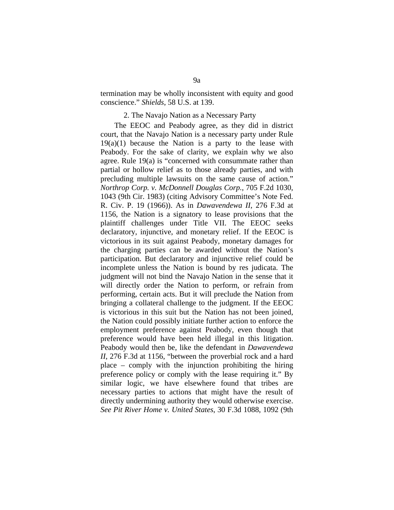termination may be wholly inconsistent with equity and good conscience." *Shields*, 58 U.S. at 139.

#### 2. The Navajo Nation as a Necessary Party

The EEOC and Peabody agree, as they did in district court, that the Navajo Nation is a necessary party under Rule  $19(a)(1)$  because the Nation is a party to the lease with Peabody. For the sake of clarity, we explain why we also agree. Rule 19(a) is "concerned with consummate rather than partial or hollow relief as to those already parties, and with precluding multiple lawsuits on the same cause of action." *Northrop Corp. v. McDonnell Douglas Corp.*, 705 F.2d 1030, 1043 (9th Cir. 1983) (citing Advisory Committee's Note Fed. R. Civ. P. 19 (1966)). As in *Dawavendewa II*, 276 F.3d at 1156, the Nation is a signatory to lease provisions that the plaintiff challenges under Title VII. The EEOC seeks declaratory, injunctive, and monetary relief. If the EEOC is victorious in its suit against Peabody, monetary damages for the charging parties can be awarded without the Nation's participation. But declaratory and injunctive relief could be incomplete unless the Nation is bound by res judicata. The judgment will not bind the Navajo Nation in the sense that it will directly order the Nation to perform, or refrain from performing, certain acts. But it will preclude the Nation from bringing a collateral challenge to the judgment. If the EEOC is victorious in this suit but the Nation has not been joined, the Nation could possibly initiate further action to enforce the employment preference against Peabody, even though that preference would have been held illegal in this litigation. Peabody would then be, like the defendant in *Dawavendewa II*, 276 F.3d at 1156, "between the proverbial rock and a hard place – comply with the injunction prohibiting the hiring preference policy or comply with the lease requiring it." By similar logic, we have elsewhere found that tribes are necessary parties to actions that might have the result of directly undermining authority they would otherwise exercise. *See Pit River Home v. United States*, 30 F.3d 1088, 1092 (9th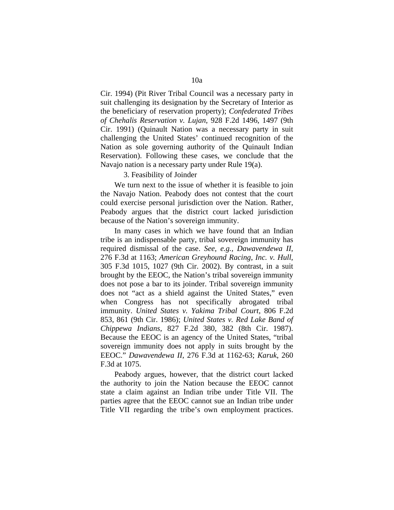Cir. 1994) (Pit River Tribal Council was a necessary party in suit challenging its designation by the Secretary of Interior as the beneficiary of reservation property); *Confederated Tribes of Chehalis Reservation v. Lujan*, 928 F.2d 1496, 1497 (9th Cir. 1991) (Quinault Nation was a necessary party in suit challenging the United States' continued recognition of the Nation as sole governing authority of the Quinault Indian Reservation). Following these cases, we conclude that the Navajo nation is a necessary party under Rule 19(a).

3. Feasibility of Joinder

We turn next to the issue of whether it is feasible to join the Navajo Nation. Peabody does not contest that the court could exercise personal jurisdiction over the Nation. Rather, Peabody argues that the district court lacked jurisdiction because of the Nation's sovereign immunity.

In many cases in which we have found that an Indian tribe is an indispensable party, tribal sovereign immunity has required dismissal of the case. *See, e.g., Dawavendewa II*, 276 F.3d at 1163; *American Greyhound Racing, Inc. v. Hull*, 305 F.3d 1015, 1027 (9th Cir. 2002). By contrast, in a suit brought by the EEOC, the Nation's tribal sovereign immunity does not pose a bar to its joinder. Tribal sovereign immunity does not "act as a shield against the United States," even when Congress has not specifically abrogated tribal immunity. *United States v. Yakima Tribal Court*, 806 F.2d 853, 861 (9th Cir. 1986); *United States v. Red Lake Band of Chippewa Indians*, 827 F.2d 380, 382 (8th Cir. 1987). Because the EEOC is an agency of the United States, "tribal sovereign immunity does not apply in suits brought by the EEOC." *Dawavendewa II*, 276 F.3d at 1162-63; *Karuk*, 260 F.3d at 1075.

Peabody argues, however, that the district court lacked the authority to join the Nation because the EEOC cannot state a claim against an Indian tribe under Title VII. The parties agree that the EEOC cannot sue an Indian tribe under Title VII regarding the tribe's own employment practices.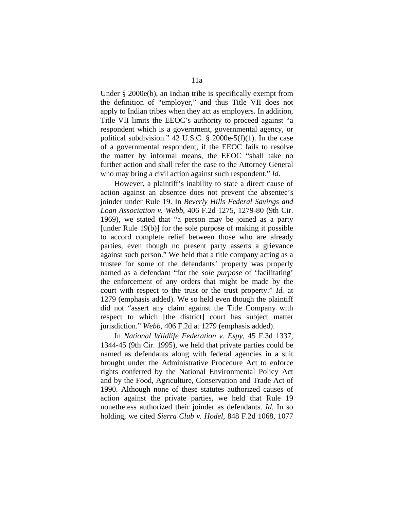Under § 2000e(b), an Indian tribe is specifically exempt from the definition of "employer," and thus Title VII does not apply to Indian tribes when they act as employers. In addition, Title VII limits the EEOC's authority to proceed against "a respondent which is a government, governmental agency, or political subdivision." 42 U.S.C.  $\S$  2000e-5(f)(1). In the case of a governmental respondent, if the EEOC fails to resolve the matter by informal means, the EEOC "shall take no further action and shall refer the case to the Attorney General who may bring a civil action against such respondent." *Id*.

However, a plaintiff's inability to state a direct cause of action against an absentee does not prevent the absentee's joinder under Rule 19. In *Beverly Hills Federal Savings and Loan Association v. Webb*, 406 F.2d 1275, 1279-80 (9th Cir. 1969), we stated that "a person may be joined as a party [under Rule 19(b)] for the sole purpose of making it possible to accord complete relief between those who are already parties, even though no present party asserts a grievance against such person." We held that a title company acting as a trustee for some of the defendants' property was properly named as a defendant "for the *sole purpose* of 'facilitating' the enforcement of any orders that might be made by the court with respect to the trust or the trust property." *Id.* at 1279 (emphasis added). We so held even though the plaintiff did not "assert any claim against the Title Company with respect to which [the district] court has subject matter jurisdiction." *Webb*, 406 F.2d at 1279 (emphasis added).

In *National Wildlife Federation v. Espy*, 45 F.3d 1337, 1344-45 (9th Cir. 1995), we held that private parties could be named as defendants along with federal agencies in a suit brought under the Administrative Procedure Act to enforce rights conferred by the National Environmental Policy Act and by the Food, Agriculture, Conservation and Trade Act of 1990. Although none of these statutes authorized causes of action against the private parties, we held that Rule 19 nonetheless authorized their joinder as defendants. *Id.* In so holding, we cited *Sierra Club v. Hodel*, 848 F.2d 1068, 1077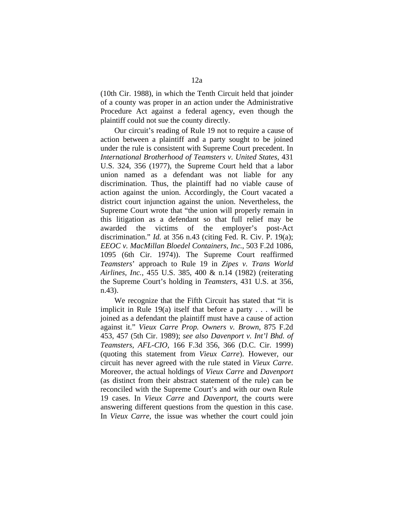(10th Cir. 1988), in which the Tenth Circuit held that joinder of a county was proper in an action under the Administrative Procedure Act against a federal agency, even though the plaintiff could not sue the county directly.

Our circuit's reading of Rule 19 not to require a cause of action between a plaintiff and a party sought to be joined under the rule is consistent with Supreme Court precedent. In *International Brotherhood of Teamsters v. United States*, 431 U.S. 324, 356 (1977), the Supreme Court held that a labor union named as a defendant was not liable for any discrimination. Thus, the plaintiff had no viable cause of action against the union. Accordingly, the Court vacated a district court injunction against the union. Nevertheless, the Supreme Court wrote that "the union will properly remain in this litigation as a defendant so that full relief may be awarded the victims of the employer's post-Act discrimination." *Id.* at 356 n.43 (citing Fed. R. Civ. P. 19(a); *EEOC v. MacMillan Bloedel Containers, Inc.*, 503 F.2d 1086, 1095 (6th Cir. 1974)). The Supreme Court reaffirmed *Teamsters*' approach to Rule 19 in *Zipes v. Trans World Airlines, Inc.*, 455 U.S. 385, 400 & n.14 (1982) (reiterating the Supreme Court's holding in *Teamsters*, 431 U.S. at 356, n.43).

We recognize that the Fifth Circuit has stated that "it is implicit in Rule 19(a) itself that before a party . . . will be joined as a defendant the plaintiff must have a cause of action against it." *Vieux Carre Prop. Owners v. Brown*, 875 F.2d 453, 457 (5th Cir. 1989); *see also Davenport v. Int'l Bhd. of Teamsters, AFL-CIO*, 166 F.3d 356, 366 (D.C. Cir. 1999) (quoting this statement from *Vieux Carre*). However, our circuit has never agreed with the rule stated in *Vieux Carre*. Moreover, the actual holdings of *Vieux Carre* and *Davenport* (as distinct from their abstract statement of the rule) can be reconciled with the Supreme Court's and with our own Rule 19 cases. In *Vieux Carre* and *Davenport*, the courts were answering different questions from the question in this case. In *Vieux Carre*, the issue was whether the court could join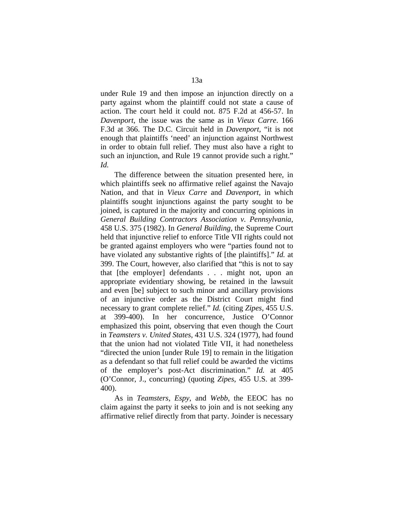under Rule 19 and then impose an injunction directly on a party against whom the plaintiff could not state a cause of action. The court held it could not. 875 F.2d at 456-57. In *Davenport*, the issue was the same as in *Vieux Carre*. 166 F.3d at 366. The D.C. Circuit held in *Davenport*, "it is not enough that plaintiffs 'need' an injunction against Northwest in order to obtain full relief. They must also have a right to such an injunction, and Rule 19 cannot provide such a right." *Id.*

The difference between the situation presented here, in which plaintiffs seek no affirmative relief against the Navajo Nation, and that in *Vieux Carre* and *Davenport*, in which plaintiffs sought injunctions against the party sought to be joined, is captured in the majority and concurring opinions in *General Building Contractors Association v. Pennsylvania*, 458 U.S. 375 (1982). In *General Building*, the Supreme Court held that injunctive relief to enforce Title VII rights could not be granted against employers who were "parties found not to have violated any substantive rights of [the plaintiffs]." *Id.* at 399. The Court, however, also clarified that "this is not to say that [the employer] defendants . . . might not, upon an appropriate evidentiary showing, be retained in the lawsuit and even [be] subject to such minor and ancillary provisions of an injunctive order as the District Court might find necessary to grant complete relief." *Id.* (citing *Zipes*, 455 U.S. at 399-400). In her concurrence, Justice O'Connor emphasized this point, observing that even though the Court in *Teamsters v. United States*, 431 U.S. 324 (1977), had found that the union had not violated Title VII, it had nonetheless "directed the union [under Rule 19] to remain in the litigation as a defendant so that full relief could be awarded the victims of the employer's post-Act discrimination." *Id.* at 405 (O'Connor, J., concurring) (quoting *Zipes*, 455 U.S. at 399- 400).

As in *Teamsters*, *Espy*, and *Webb*, the EEOC has no claim against the party it seeks to join and is not seeking any affirmative relief directly from that party. Joinder is necessary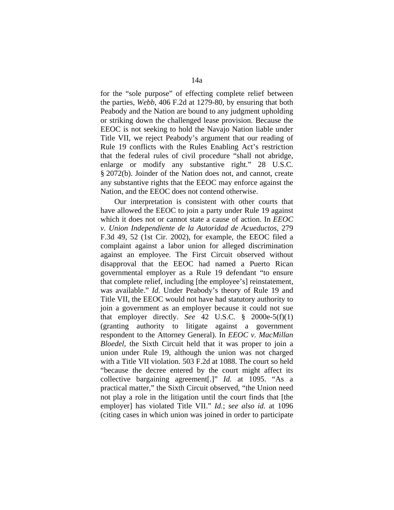for the "sole purpose" of effecting complete relief between the parties, *Webb*, 406 F.2d at 1279-80, by ensuring that both Peabody and the Nation are bound to any judgment upholding or striking down the challenged lease provision. Because the EEOC is not seeking to hold the Navajo Nation liable under Title VII, we reject Peabody's argument that our reading of Rule 19 conflicts with the Rules Enabling Act's restriction that the federal rules of civil procedure "shall not abridge, enlarge or modify any substantive right." 28 U.S.C. § 2072(b). Joinder of the Nation does not, and cannot, create any substantive rights that the EEOC may enforce against the Nation, and the EEOC does not contend otherwise.

Our interpretation is consistent with other courts that have allowed the EEOC to join a party under Rule 19 against which it does not or cannot state a cause of action. In *EEOC v. Union Independiente de la Autoridad de Acueductos*, 279 F.3d 49, 52 (1st Cir. 2002), for example, the EEOC filed a complaint against a labor union for alleged discrimination against an employee. The First Circuit observed without disapproval that the EEOC had named a Puerto Rican governmental employer as a Rule 19 defendant "to ensure that complete relief, including [the employee's] reinstatement, was available." *Id.* Under Peabody's theory of Rule 19 and Title VII, the EEOC would not have had statutory authority to join a government as an employer because it could not sue that employer directly. *See*  $42 \text{ U.S.C. }$  §  $2000e-5(f)(1)$ (granting authority to litigate against a government respondent to the Attorney General). In *EEOC v. MacMillan Bloedel*, the Sixth Circuit held that it was proper to join a union under Rule 19, although the union was not charged with a Title VII violation. 503 F.2d at 1088. The court so held "because the decree entered by the court might affect its collective bargaining agreement[.]" *Id.* at 1095. "As a practical matter," the Sixth Circuit observed, "the Union need not play a role in the litigation until the court finds that [the employer] has violated Title VII." *Id.*; *see also id.* at 1096 (citing cases in which union was joined in order to participate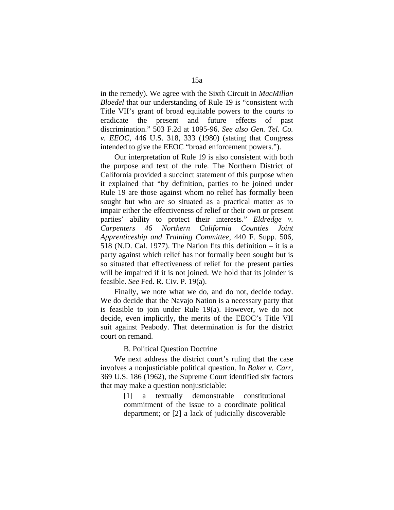in the remedy). We agree with the Sixth Circuit in *MacMillan Bloedel* that our understanding of Rule 19 is "consistent with Title VII's grant of broad equitable powers to the courts to eradicate the present and future effects of past discrimination." 503 F.2d at 1095-96. *See also Gen. Tel. Co. v. EEOC*, 446 U.S. 318, 333 (1980) (stating that Congress intended to give the EEOC "broad enforcement powers.").

Our interpretation of Rule 19 is also consistent with both the purpose and text of the rule. The Northern District of California provided a succinct statement of this purpose when it explained that "by definition, parties to be joined under Rule 19 are those against whom no relief has formally been sought but who are so situated as a practical matter as to impair either the effectiveness of relief or their own or present parties' ability to protect their interests." *Eldredge v. Carpenters 46 Northern California Counties Joint Apprenticeship and Training Committee*, 440 F. Supp. 506, 518 (N.D. Cal. 1977). The Nation fits this definition – it is a party against which relief has not formally been sought but is so situated that effectiveness of relief for the present parties will be impaired if it is not joined. We hold that its joinder is feasible. *See* Fed. R. Civ. P. 19(a).

Finally, we note what we do, and do not, decide today. We do decide that the Navajo Nation is a necessary party that is feasible to join under Rule 19(a). However, we do not decide, even implicitly, the merits of the EEOC's Title VII suit against Peabody. That determination is for the district court on remand.

## B. Political Question Doctrine

We next address the district court's ruling that the case involves a nonjusticiable political question. In *Baker v. Carr*, 369 U.S. 186 (1962), the Supreme Court identified six factors that may make a question nonjusticiable:

> [1] a textually demonstrable constitutional commitment of the issue to a coordinate political department; or [2] a lack of judicially discoverable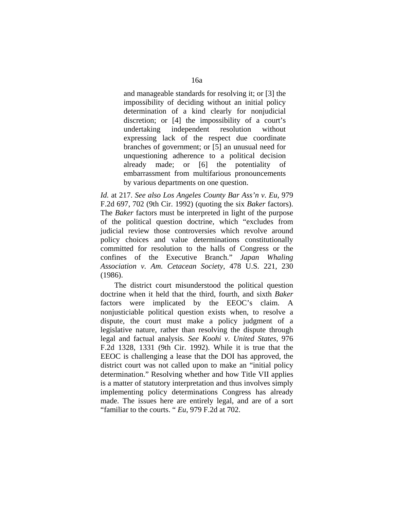and manageable standards for resolving it; or [3] the impossibility of deciding without an initial policy determination of a kind clearly for nonjudicial discretion; or [4] the impossibility of a court's undertaking independent resolution without expressing lack of the respect due coordinate branches of government; or [5] an unusual need for unquestioning adherence to a political decision already made; or [6] the potentiality of embarrassment from multifarious pronouncements by various departments on one question.

*Id.* at 217. *See also Los Angeles County Bar Ass'n v. Eu*, 979 F.2d 697, 702 (9th Cir. 1992) (quoting the six *Baker* factors). The *Baker* factors must be interpreted in light of the purpose of the political question doctrine, which "excludes from judicial review those controversies which revolve around policy choices and value determinations constitutionally committed for resolution to the halls of Congress or the confines of the Executive Branch." *Japan Whaling Association v. Am. Cetacean Society*, 478 U.S. 221, 230 (1986).

The district court misunderstood the political question doctrine when it held that the third, fourth, and sixth *Baker*  factors were implicated by the EEOC's claim. A nonjusticiable political question exists when, to resolve a dispute, the court must make a policy judgment of a legislative nature, rather than resolving the dispute through legal and factual analysis. *See Koohi v. United States*, 976 F.2d 1328, 1331 (9th Cir. 1992). While it is true that the EEOC is challenging a lease that the DOI has approved, the district court was not called upon to make an "initial policy determination." Resolving whether and how Title VII applies is a matter of statutory interpretation and thus involves simply implementing policy determinations Congress has already made. The issues here are entirely legal, and are of a sort "familiar to the courts. " *Eu*, 979 F.2d at 702.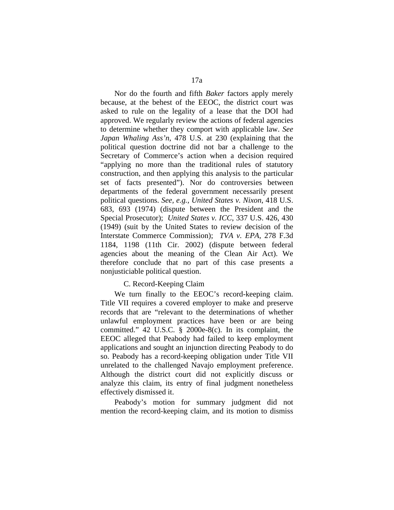Nor do the fourth and fifth *Baker* factors apply merely because, at the behest of the EEOC, the district court was asked to rule on the legality of a lease that the DOI had approved. We regularly review the actions of federal agencies to determine whether they comport with applicable law. *See Japan Whaling Ass'n*, 478 U.S. at 230 (explaining that the political question doctrine did not bar a challenge to the Secretary of Commerce's action when a decision required "applying no more than the traditional rules of statutory construction, and then applying this analysis to the particular set of facts presented"). Nor do controversies between departments of the federal government necessarily present political questions. *See, e.g., United States v. Nixon*, 418 U.S. 683, 693 (1974) (dispute between the President and the Special Prosecutor); *United States v. ICC*, 337 U.S. 426, 430 (1949) (suit by the United States to review decision of the Interstate Commerce Commission); *TVA v. EPA*, 278 F.3d 1184, 1198 (11th Cir. 2002) (dispute between federal agencies about the meaning of the Clean Air Act). We therefore conclude that no part of this case presents a nonjusticiable political question.

## C. Record-Keeping Claim

We turn finally to the EEOC's record-keeping claim. Title VII requires a covered employer to make and preserve records that are "relevant to the determinations of whether unlawful employment practices have been or are being committed." 42 U.S.C. § 2000e-8(c). In its complaint, the EEOC alleged that Peabody had failed to keep employment applications and sought an injunction directing Peabody to do so. Peabody has a record-keeping obligation under Title VII unrelated to the challenged Navajo employment preference. Although the district court did not explicitly discuss or analyze this claim, its entry of final judgment nonetheless effectively dismissed it.

Peabody's motion for summary judgment did not mention the record-keeping claim, and its motion to dismiss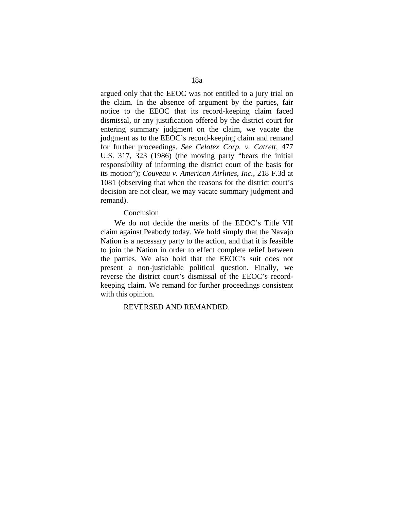argued only that the EEOC was not entitled to a jury trial on the claim. In the absence of argument by the parties, fair notice to the EEOC that its record-keeping claim faced dismissal, or any justification offered by the district court for entering summary judgment on the claim, we vacate the judgment as to the EEOC's record-keeping claim and remand for further proceedings. *See Celotex Corp. v. Catrett*, 477 U.S. 317, 323 (1986) (the moving party "bears the initial responsibility of informing the district court of the basis for its motion"); *Couveau v. American Airlines, Inc.*, 218 F.3d at 1081 (observing that when the reasons for the district court's decision are not clear, we may vacate summary judgment and remand).

## Conclusion

We do not decide the merits of the EEOC's Title VII claim against Peabody today. We hold simply that the Navajo Nation is a necessary party to the action, and that it is feasible to join the Nation in order to effect complete relief between the parties. We also hold that the EEOC's suit does not present a non-justiciable political question. Finally, we reverse the district court's dismissal of the EEOC's recordkeeping claim. We remand for further proceedings consistent with this opinion.

## REVERSED AND REMANDED.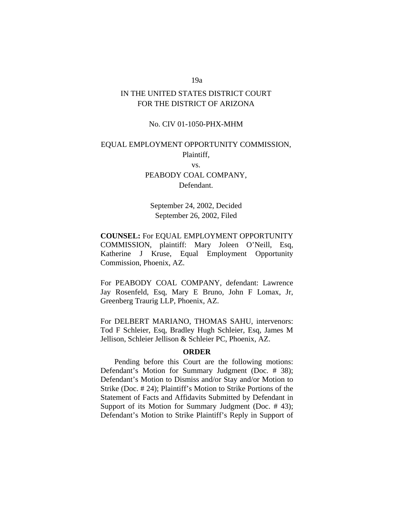# 19a

# IN THE UNITED STATES DISTRICT COURT FOR THE DISTRICT OF ARIZONA

## No. CIV 01-1050-PHX-MHM

# EQUAL EMPLOYMENT OPPORTUNITY COMMISSION,

Plaintiff, vs.

PEABODY COAL COMPANY, Defendant.

September 24, 2002, Decided September 26, 2002, Filed

**COUNSEL:** For EQUAL EMPLOYMENT OPPORTUNITY COMMISSION, plaintiff: Mary Joleen O'Neill, Esq, Katherine J Kruse, Equal Employment Opportunity Commission, Phoenix, AZ.

For PEABODY COAL COMPANY, defendant: Lawrence Jay Rosenfeld, Esq, Mary E Bruno, John F Lomax, Jr, Greenberg Traurig LLP, Phoenix, AZ.

For DELBERT MARIANO, THOMAS SAHU, intervenors: Tod F Schleier, Esq, Bradley Hugh Schleier, Esq, James M Jellison, Schleier Jellison & Schleier PC, Phoenix, AZ.

## **ORDER**

Pending before this Court are the following motions: Defendant's Motion for Summary Judgment (Doc. # 38); Defendant's Motion to Dismiss and/or Stay and/or Motion to Strike (Doc. # 24); Plaintiff's Motion to Strike Portions of the Statement of Facts and Affidavits Submitted by Defendant in Support of its Motion for Summary Judgment (Doc. # 43); Defendant's Motion to Strike Plaintiff's Reply in Support of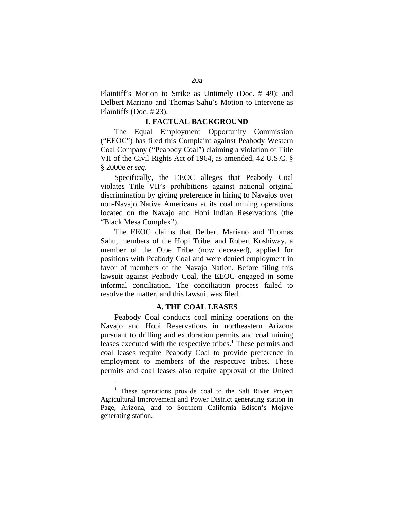Plaintiff's Motion to Strike as Untimely (Doc. # 49); and Delbert Mariano and Thomas Sahu's Motion to Intervene as Plaintiffs (Doc. # 23).

## **I. FACTUAL BACKGROUND**

The Equal Employment Opportunity Commission ("EEOC") has filed this Complaint against Peabody Western Coal Company ("Peabody Coal") claiming a violation of Title VII of the Civil Rights Act of 1964, as amended, 42 U.S.C. § § 2000e *et seq*.

Specifically, the EEOC alleges that Peabody Coal violates Title VII's prohibitions against national original discrimination by giving preference in hiring to Navajos over non-Navajo Native Americans at its coal mining operations located on the Navajo and Hopi Indian Reservations (the "Black Mesa Complex").

The EEOC claims that Delbert Mariano and Thomas Sahu, members of the Hopi Tribe, and Robert Koshiway, a member of the Otoe Tribe (now deceased), applied for positions with Peabody Coal and were denied employment in favor of members of the Navajo Nation. Before filing this lawsuit against Peabody Coal, the EEOC engaged in some informal conciliation. The conciliation process failed to resolve the matter, and this lawsuit was filed.

## **A. THE COAL LEASES**

Peabody Coal conducts coal mining operations on the Navajo and Hopi Reservations in northeastern Arizona pursuant to drilling and exploration permits and coal mining leases executed with the respective tribes.<sup>1</sup> These permits and coal leases require Peabody Coal to provide preference in employment to members of the respective tribes. These permits and coal leases also require approval of the United

<span id="page-19-0"></span> $\overline{a}$ 

<sup>&</sup>lt;sup>1</sup> These operations provide coal to the Salt River Project Agricultural Improvement and Power District generating station in Page, Arizona, and to Southern California Edison's Mojave generating station.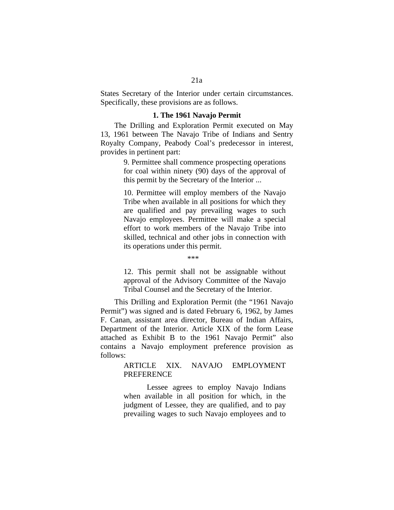States Secretary of the Interior under certain circumstances. Specifically, these provisions are as follows.

#### **1. The 1961 Navajo Permit**

The Drilling and Exploration Permit executed on May 13, 1961 between The Navajo Tribe of Indians and Sentry Royalty Company, Peabody Coal's predecessor in interest, provides in pertinent part:

> 9. Permittee shall commence prospecting operations for coal within ninety (90) days of the approval of this permit by the Secretary of the Interior ...

> 10. Permittee will employ members of the Navajo Tribe when available in all positions for which they are qualified and pay prevailing wages to such Navajo employees. Permittee will make a special effort to work members of the Navajo Tribe into skilled, technical and other jobs in connection with its operations under this permit.

> > \*\*\*

12. This permit shall not be assignable without approval of the Advisory Committee of the Navajo Tribal Counsel and the Secretary of the Interior.

This Drilling and Exploration Permit (the "1961 Navajo Permit") was signed and is dated February 6, 1962, by James F. Canan, assistant area director, Bureau of Indian Affairs, Department of the Interior. Article XIX of the form Lease attached as Exhibit B to the 1961 Navajo Permit" also contains a Navajo employment preference provision as follows:

> ARTICLE XIX. NAVAJO EMPLOYMENT PREFERENCE

> Lessee agrees to employ Navajo Indians when available in all position for which, in the judgment of Lessee, they are qualified, and to pay prevailing wages to such Navajo employees and to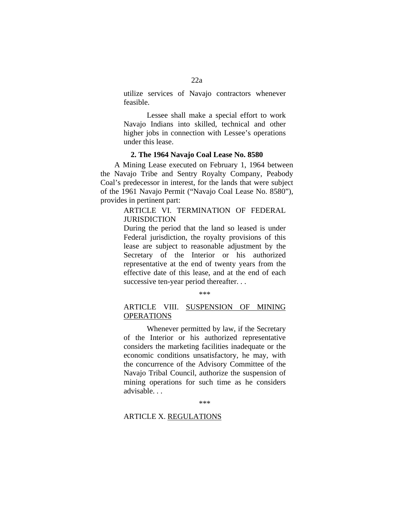utilize services of Navajo contractors whenever feasible.

Lessee shall make a special effort to work Navajo Indians into skilled, technical and other higher jobs in connection with Lessee's operations under this lease.

#### **2. The 1964 Navajo Coal Lease No. 8580**

A Mining Lease executed on February 1, 1964 between the Navajo Tribe and Sentry Royalty Company, Peabody Coal's predecessor in interest, for the lands that were subject of the 1961 Navajo Permit ("Navajo Coal Lease No. 8580"), provides in pertinent part:

## ARTICLE VI. TERMINATION OF FEDERAL **JURISDICTION**

During the period that the land so leased is under Federal jurisdiction, the royalty provisions of this lease are subject to reasonable adjustment by the Secretary of the Interior or his authorized representative at the end of twenty years from the effective date of this lease, and at the end of each successive ten-year period thereafter. . .

\*\*\*

## ARTICLE VIII. SUSPENSION OF MINING OPERATIONS

Whenever permitted by law, if the Secretary of the Interior or his authorized representative considers the marketing facilities inadequate or the economic conditions unsatisfactory, he may, with the concurrence of the Advisory Committee of the Navajo Tribal Council, authorize the suspension of mining operations for such time as he considers advisable. . .

\*\*\*

## ARTICLE X. REGULATIONS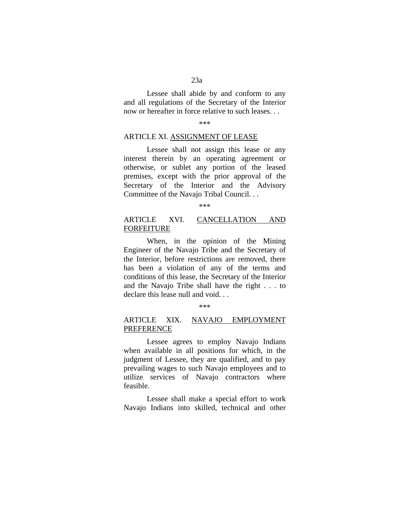Lessee shall abide by and conform to any and all regulations of the Secretary of the Interior now or hereafter in force relative to such leases. . .

\*\*\*

## ARTICLE XI. ASSIGNMENT OF LEASE

Lessee shall not assign this lease or any interest therein by an operating agreement or otherwise, or sublet any portion of the leased premises, except with the prior approval of the Secretary of the Interior and the Advisory Committee of the Navajo Tribal Council. . .

\*\*\*

## ARTICLE XVI. CANCELLATION AND FORFEITURE

When, in the opinion of the Mining Engineer of the Navajo Tribe and the Secretary of the Interior, before restrictions are removed, there has been a violation of any of the terms and conditions of this lease, the Secretary of the Interior and the Navajo Tribe shall have the right . . . to declare this lease null and void. . .

#### \*\*\*

## ARTICLE XIX. NAVAJO EMPLOYMENT PREFERENCE

Lessee agrees to employ Navajo Indians when available in all positions for which, in the judgment of Lessee, they are qualified, and to pay prevailing wages to such Navajo employees and to utilize services of Navajo contractors where feasible.

Lessee shall make a special effort to work Navajo Indians into skilled, technical and other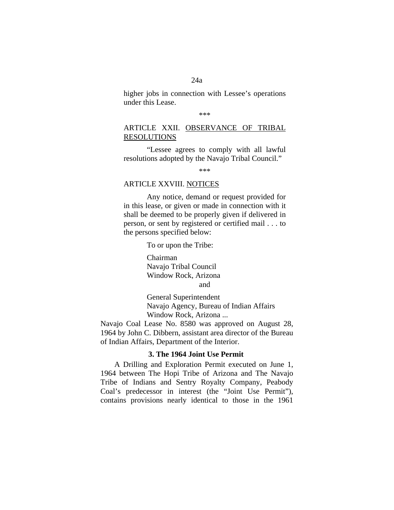## 24a

higher jobs in connection with Lessee's operations under this Lease.

\*\*\*

## ARTICLE XXII. OBSERVANCE OF TRIBAL RESOLUTIONS

"Lessee agrees to comply with all lawful resolutions adopted by the Navajo Tribal Council."

\*\*\*

## ARTICLE XXVIII. NOTICES

Any notice, demand or request provided for in this lease, or given or made in connection with it shall be deemed to be properly given if delivered in person, or sent by registered or certified mail . . . to the persons specified below:

To or upon the Tribe:

Chairman Navajo Tribal Council Window Rock, Arizona and

General Superintendent Navajo Agency, Bureau of Indian Affairs Window Rock, Arizona ...

Navajo Coal Lease No. 8580 was approved on August 28, 1964 by John C. Dibbern, assistant area director of the Bureau of Indian Affairs, Department of the Interior.

## **3. The 1964 Joint Use Permit**

A Drilling and Exploration Permit executed on June 1, 1964 between The Hopi Tribe of Arizona and The Navajo Tribe of Indians and Sentry Royalty Company, Peabody Coal's predecessor in interest (the "Joint Use Permit"), contains provisions nearly identical to those in the 1961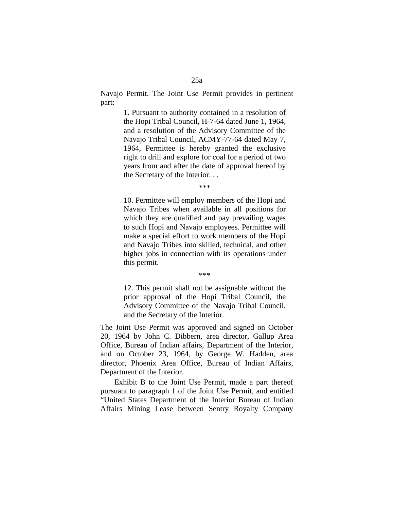Navajo Permit. The Joint Use Permit provides in pertinent part:

> 1. Pursuant to authority contained in a resolution of the Hopi Tribal Council, H-7-64 dated June 1, 1964, and a resolution of the Advisory Committee of the Navajo Tribal Council, ACMY-77-64 dated May 7, 1964, Permittee is hereby granted the exclusive right to drill and explore for coal for a period of two years from and after the date of approval hereof by the Secretary of the Interior. . .

> > \*\*\*

10. Permittee will employ members of the Hopi and Navajo Tribes when available in all positions for which they are qualified and pay prevailing wages to such Hopi and Navajo employees. Permittee will make a special effort to work members of the Hopi and Navajo Tribes into skilled, technical, and other higher jobs in connection with its operations under this permit.

\*\*\*

12. This permit shall not be assignable without the prior approval of the Hopi Tribal Council, the Advisory Committee of the Navajo Tribal Council, and the Secretary of the Interior.

The Joint Use Permit was approved and signed on October 20, 1964 by John C. Dibbern, area director, Gallup Area Office, Bureau of Indian affairs, Department of the Interior, and on October 23, 1964, by George W. Hadden, area director, Phoenix Area Office, Bureau of Indian Affairs, Department of the Interior.

Exhibit B to the Joint Use Permit, made a part thereof pursuant to paragraph 1 of the Joint Use Permit, and entitled "United States Department of the Interior Bureau of Indian Affairs Mining Lease between Sentry Royalty Company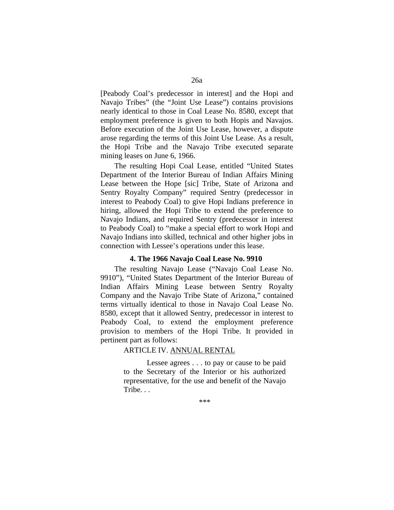[Peabody Coal's predecessor in interest] and the Hopi and Navajo Tribes" (the "Joint Use Lease") contains provisions nearly identical to those in Coal Lease No. 8580, except that employment preference is given to both Hopis and Navajos. Before execution of the Joint Use Lease, however, a dispute arose regarding the terms of this Joint Use Lease. As a result, the Hopi Tribe and the Navajo Tribe executed separate mining leases on June 6, 1966.

The resulting Hopi Coal Lease, entitled "United States Department of the Interior Bureau of Indian Affairs Mining Lease between the Hope [sic] Tribe, State of Arizona and Sentry Royalty Company" required Sentry (predecessor in interest to Peabody Coal) to give Hopi Indians preference in hiring, allowed the Hopi Tribe to extend the preference to Navajo Indians, and required Sentry (predecessor in interest to Peabody Coal) to "make a special effort to work Hopi and Navajo Indians into skilled, technical and other higher jobs in connection with Lessee's operations under this lease.

## **4. The 1966 Navajo Coal Lease No. 9910**

The resulting Navajo Lease ("Navajo Coal Lease No. 9910"), "United States Department of the Interior Bureau of Indian Affairs Mining Lease between Sentry Royalty Company and the Navajo Tribe State of Arizona," contained terms virtually identical to those in Navajo Coal Lease No. 8580, except that it allowed Sentry, predecessor in interest to Peabody Coal, to extend the employment preference provision to members of the Hopi Tribe. It provided in pertinent part as follows:

## ARTICLE IV. ANNUAL RENTAL

Lessee agrees . . . to pay or cause to be paid to the Secretary of the Interior or his authorized representative, for the use and benefit of the Navajo Tribe. . .

\*\*\*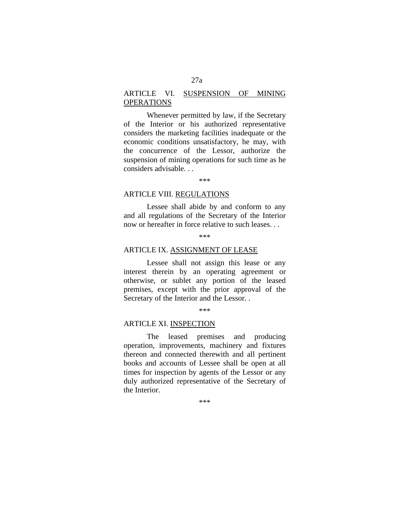## ARTICLE VI. SUSPENSION OF MINING OPERATIONS

Whenever permitted by law, if the Secretary of the Interior or his authorized representative considers the marketing facilities inadequate or the economic conditions unsatisfactory, he may, with the concurrence of the Lessor, authorize the suspension of mining operations for such time as he considers advisable. . .

#### \*\*\*

#### ARTICLE VIII. REGULATIONS

Lessee shall abide by and conform to any and all regulations of the Secretary of the Interior now or hereafter in force relative to such leases. . .

#### \*\*\*

#### ARTICLE IX. ASSIGNMENT OF LEASE

Lessee shall not assign this lease or any interest therein by an operating agreement or otherwise, or sublet any portion of the leased premises, except with the prior approval of the Secretary of the Interior and the Lessor. .

\*\*\*

#### ARTICLE XI. INSPECTION

The leased premises and producing operation, improvements, machinery and fixtures thereon and connected therewith and all pertinent books and accounts of Lessee shall be open at all times for inspection by agents of the Lessor or any duly authorized representative of the Secretary of the Interior.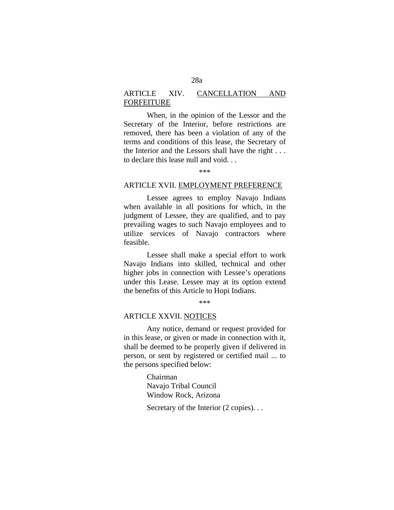## ARTICLE XIV. CANCELLATION AND FORFEITURE

When, in the opinion of the Lessor and the Secretary of the Interior, before restrictions are removed, there has been a violation of any of the terms and conditions of this lease, the Secretary of the Interior and the Lessors shall have the right . . . to declare this lease null and void. . .

#### ARTICLE XVII. EMPLOYMENT PREFERENCE

Lessee agrees to employ Navajo Indians when available in all positions for which, in the judgment of Lessee, they are qualified, and to pay prevailing wages to such Navajo employees and to utilize services of Navajo contractors where feasible.

Lessee shall make a special effort to work Navajo Indians into skilled, technical and other higher jobs in connection with Lessee's operations under this Lease. Lessee may at its option extend the benefits of this Article to Hopi Indians.

\*\*\*

#### ARTICLE XXVII. NOTICES

Any notice, demand or request provided for in this lease, or given or made in connection with it, shall be deemed to be properly given if delivered in person, or sent by registered or certified mail ... to the persons specified below:

> Chairman Navajo Tribal Council Window Rock, Arizona

Secretary of the Interior (2 copies)...

<sup>\*\*\*</sup>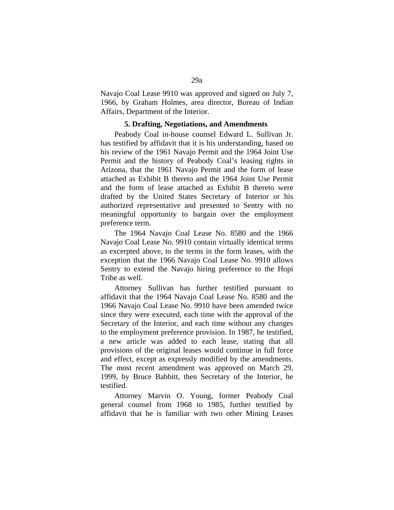Navajo Coal Lease 9910 was approved and signed on July 7, 1966, by Graham Holmes, area director, Bureau of Indian Affairs, Department of the Interior.

#### **5. Drafting, Negotiations, and Amendments**

Peabody Coal in-house counsel Edward L. Sullivan Jr. has testified by affidavit that it is his understanding, based on his review of the 1961 Navajo Permit and the 1964 Joint Use Permit and the history of Peabody Coal's leasing rights in Arizona, that the 1961 Navajo Permit and the form of lease attached as Exhibit B thereto and the 1964 Joint Use Permit and the form of lease attached as Exhibit B thereto were drafted by the United States Secretary of Interior or his authorized representative and presented to Sentry with no meaningful opportunity to bargain over the employment preference term.

The 1964 Navajo Coal Lease No. 8580 and the 1966 Navajo Coal Lease No. 9910 contain virtually identical terms as excerpted above, to the terms in the form leases, with the exception that the 1966 Navajo Coal Lease No. 9910 allows Sentry to extend the Navajo hiring preference to the Hopi Tribe as well.

Attorney Sullivan has further testified pursuant to affidavit that the 1964 Navajo Coal Lease No. 8580 and the 1966 Navajo Coal Lease No. 9910 have been amended twice since they were executed, each time with the approval of the Secretary of the Interior, and each time without any changes to the employment preference provision. In 1987, he testified, a new article was added to each lease, stating that all provisions of the original leases would continue in full force and effect, except as expressly modified by the amendments. The most recent amendment was approved on March 29, 1999, by Bruce Babbitt, then Secretary of the Interior, he testified.

Attorney Marvin O. Young, former Peabody Coal general counsel from 1968 to 1985, further testified by affidavit that he is familiar with two other Mining Leases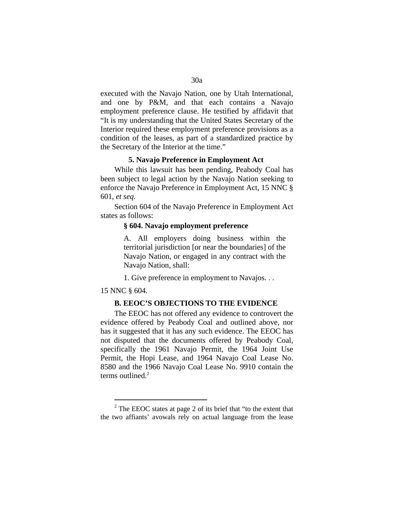executed with the Navajo Nation, one by Utah International, and one by P&M, and that each contains a Navajo employment preference clause. He testified by affidavit that "It is my understanding that the United States Secretary of the Interior required these employment preference provisions as a condition of the leases, as part of a standardized practice by the Secretary of the Interior at the time."

## **5. Navajo Preference in Employment Act**

While this lawsuit has been pending, Peabody Coal has been subject to legal action by the Navajo Nation seeking to enforce the Navajo Preference in Employment Act, 15 NNC § 601, *et seq.*

Section 604 of the Navajo Preference in Employment Act states as follows:

#### **§ 604. Navajo employment preference**

A. All employers doing business within the territorial jurisdiction [or near the boundaries] of the Navajo Nation, or engaged in any contract with the Navajo Nation, shall:

1. Give preference in employment to Navajos. . .

## 15 NNC § 604.

<span id="page-29-0"></span> $\overline{a}$ 

#### **B. EEOC'S OBJECTIONS TO THE EVIDENCE**

The EEOC has not offered any evidence to controvert the evidence offered by Peabody Coal and outlined above, nor has it suggested that it has any such evidence. The EEOC has not disputed that the documents offered by Peabody Coal, specifically the 1961 Navajo Permit, the 1964 Joint Use Permit, the Hopi Lease, and 1964 Navajo Coal Lease No. 8580 and the 1966 Navajo Coal Lease No. 9910 contain the terms outlined. $2$ 

 $2^2$  The EEOC states at page 2 of its brief that "to the extent that the two affiants' avowals rely on actual language from the lease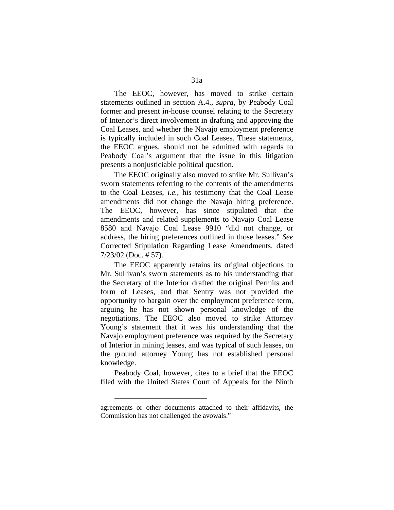The EEOC, however, has moved to strike certain statements outlined in section A.4., *supra,* by Peabody Coal former and present in-house counsel relating to the Secretary of Interior's direct involvement in drafting and approving the Coal Leases, and whether the Navajo employment preference is typically included in such Coal Leases. These statements, the EEOC argues, should not be admitted with regards to Peabody Coal's argument that the issue in this litigation presents a nonjusticiable political question.

The EEOC originally also moved to strike Mr. Sullivan's sworn statements referring to the contents of the amendments to the Coal Leases, *i.e.*, his testimony that the Coal Lease amendments did not change the Navajo hiring preference. The EEOC, however, has since stipulated that the amendments and related supplements to Navajo Coal Lease 8580 and Navajo Coal Lease 9910 "did not change, or address, the hiring preferences outlined in those leases." *See* Corrected Stipulation Regarding Lease Amendments, dated 7/23/02 (Doc. # 57).

The EEOC apparently retains its original objections to Mr. Sullivan's sworn statements as to his understanding that the Secretary of the Interior drafted the original Permits and form of Leases, and that Sentry was not provided the opportunity to bargain over the employment preference term, arguing he has not shown personal knowledge of the negotiations. The EEOC also moved to strike Attorney Young's statement that it was his understanding that the Navajo employment preference was required by the Secretary of Interior in mining leases, and was typical of such leases, on the ground attorney Young has not established personal knowledge.

Peabody Coal, however, cites to a brief that the EEOC filed with the United States Court of Appeals for the Ninth

 $\overline{a}$ 

agreements or other documents attached to their affidavits, the Commission has not challenged the avowals."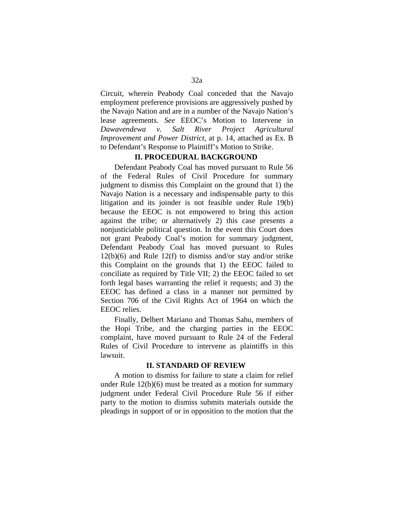Circuit, wherein Peabody Coal conceded that the Navajo employment preference provisions are aggressively pushed by the Navajo Nation and are in a number of the Navajo Nation's lease agreements. *See* EEOC's Motion to Intervene in *Dawavendewa v. Salt River Project Agricultural Improvement and Power District*, at p. 14, attached as Ex. B to Defendant's Response to Plaintiff's Motion to Strike.

## **II. PROCEDURAL BACKGROUND**

Defendant Peabody Coal has moved pursuant to Rule 56 of the Federal Rules of Civil Procedure for summary judgment to dismiss this Complaint on the ground that 1) the Navajo Nation is a necessary and indispensable party to this litigation and its joinder is not feasible under Rule 19(b) because the EEOC is not empowered to bring this action against the tribe; or alternatively 2) this case presents a nonjusticiable political question. In the event this Court does not grant Peabody Coal's motion for summary judgment, Defendant Peabody Coal has moved pursuant to Rules 12(b)(6) and Rule 12(f) to dismiss and/or stay and/or strike this Complaint on the grounds that 1) the EEOC failed to conciliate as required by Title VII; 2) the EEOC failed to set forth legal bases warranting the relief it requests; and 3) the EEOC has defined a class in a manner not permitted by Section 706 of the Civil Rights Act of 1964 on which the EEOC relies.

Finally, Delbert Mariano and Thomas Sahu, members of the Hopi Tribe, and the charging parties in the EEOC complaint, have moved pursuant to Rule 24 of the Federal Rules of Civil Procedure to intervene as plaintiffs in this lawsuit.

## **II. STANDARD OF REVIEW**

A motion to dismiss for failure to state a claim for relief under Rule 12(b)(6) must be treated as a motion for summary judgment under Federal Civil Procedure Rule 56 if either party to the motion to dismiss submits materials outside the pleadings in support of or in opposition to the motion that the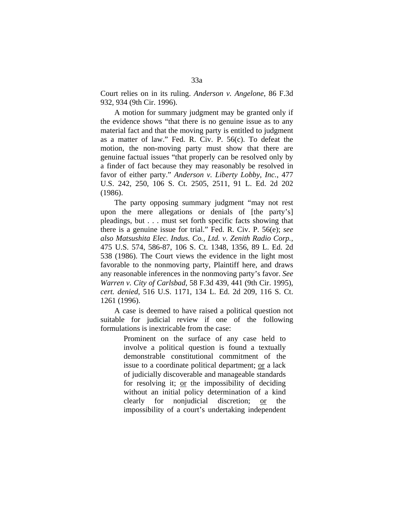Court relies on in its ruling. *Anderson v. Angelone*, 86 F.3d 932, 934 (9th Cir. 1996).

A motion for summary judgment may be granted only if the evidence shows "that there is no genuine issue as to any material fact and that the moving party is entitled to judgment as a matter of law." Fed. R. Civ. P. 56(c). To defeat the motion, the non-moving party must show that there are genuine factual issues "that properly can be resolved only by a finder of fact because they may reasonably be resolved in favor of either party." *Anderson v. Liberty Lobby, Inc.*, 477 U.S. 242, 250, 106 S. Ct. 2505, 2511, 91 L. Ed. 2d 202 (1986).

The party opposing summary judgment "may not rest upon the mere allegations or denials of [the party's] pleadings, but . . . must set forth specific facts showing that there is a genuine issue for trial." Fed. R. Civ. P. 56(e); *see also Matsushita Elec. Indus. Co., Ltd. v. Zenith Radio Corp.*, 475 U.S. 574, 586-87, 106 S. Ct. 1348, 1356, 89 L. Ed. 2d 538 (1986). The Court views the evidence in the light most favorable to the nonmoving party, Plaintiff here, and draws any reasonable inferences in the nonmoving party's favor. *See Warren v. City of Carlsbad*, 58 F.3d 439, 441 (9th Cir. 1995), *cert. denied*, 516 U.S. 1171, 134 L. Ed. 2d 209, 116 S. Ct. 1261 (1996).

A case is deemed to have raised a political question not suitable for judicial review if one of the following formulations is inextricable from the case:

> Prominent on the surface of any case held to involve a political question is found a textually demonstrable constitutional commitment of the issue to a coordinate political department; or a lack of judicially discoverable and manageable standards for resolving it; or the impossibility of deciding without an initial policy determination of a kind clearly for nonjudicial discretion; or the impossibility of a court's undertaking independent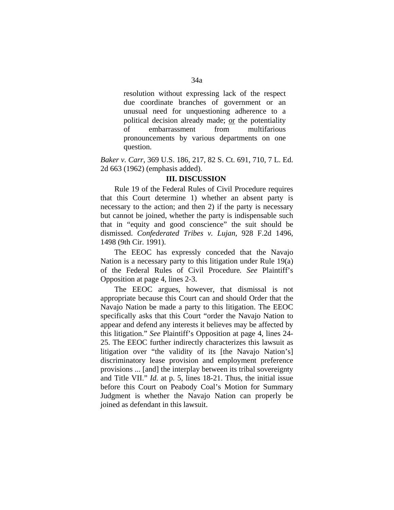resolution without expressing lack of the respect due coordinate branches of government or an unusual need for unquestioning adherence to a political decision already made; or the potentiality of embarrassment from multifarious pronouncements by various departments on one question.

*Baker v. Carr*, 369 U.S. 186, 217, 82 S. Ct. 691, 710, 7 L. Ed. 2d 663 (1962) (emphasis added).

## **III. DISCUSSION**

Rule 19 of the Federal Rules of Civil Procedure requires that this Court determine 1) whether an absent party is necessary to the action; and then 2) if the party is necessary but cannot be joined, whether the party is indispensable such that in "equity and good conscience" the suit should be dismissed. *Confederated Tribes v. Lujan*, 928 F.2d 1496, 1498 (9th Cir. 1991).

The EEOC has expressly conceded that the Navajo Nation is a necessary party to this litigation under Rule 19(a) of the Federal Rules of Civil Procedure*. See* Plaintiff's Opposition at page 4, lines 2-3.

The EEOC argues, however, that dismissal is not appropriate because this Court can and should Order that the Navajo Nation be made a party to this litigation. The EEOC specifically asks that this Court "order the Navajo Nation to appear and defend any interests it believes may be affected by this litigation." *See* Plaintiff's Opposition at page 4, lines 24- 25. The EEOC further indirectly characterizes this lawsuit as litigation over "the validity of its [the Navajo Nation's] discriminatory lease provision and employment preference provisions ... [and] the interplay between its tribal sovereignty and Title VII." *Id.* at p. 5, lines 18-21. Thus, the initial issue before this Court on Peabody Coal's Motion for Summary Judgment is whether the Navajo Nation can properly be joined as defendant in this lawsuit.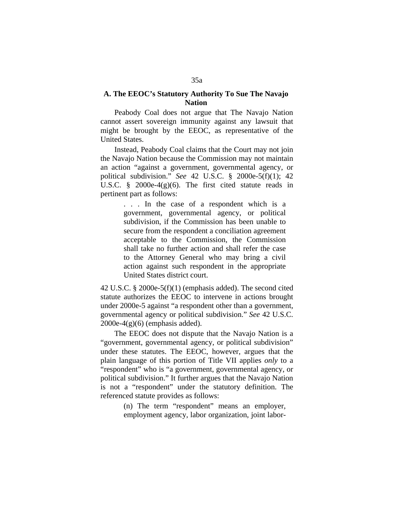## **A. The EEOC's Statutory Authority To Sue The Navajo Nation**

Peabody Coal does not argue that The Navajo Nation cannot assert sovereign immunity against any lawsuit that might be brought by the EEOC, as representative of the United States.

Instead, Peabody Coal claims that the Court may not join the Navajo Nation because the Commission may not maintain an action "against a government, governmental agency, or political subdivision." *See* 42 U.S.C. § 2000e-5(f)(1); 42 U.S.C. § 2000e-4(g)(6). The first cited statute reads in pertinent part as follows:

> . . . In the case of a respondent which is a government, governmental agency, or political subdivision, if the Commission has been unable to secure from the respondent a conciliation agreement acceptable to the Commission, the Commission shall take no further action and shall refer the case to the Attorney General who may bring a civil action against such respondent in the appropriate United States district court.

42 U.S.C. § 2000e-5(f)(1) (emphasis added). The second cited statute authorizes the EEOC to intervene in actions brought under 2000e-5 against "a respondent other than a government, governmental agency or political subdivision." *See* 42 U.S.C.  $2000e-4(g)(6)$  (emphasis added).

The EEOC does not dispute that the Navajo Nation is a "government, governmental agency, or political subdivision" under these statutes. The EEOC, however, argues that the plain language of this portion of Title VII applies *only* to a "respondent" who is "a government, governmental agency, or political subdivision." It further argues that the Navajo Nation is not a "respondent" under the statutory definition. The referenced statute provides as follows:

> (n) The term "respondent" means an employer, employment agency, labor organization, joint labor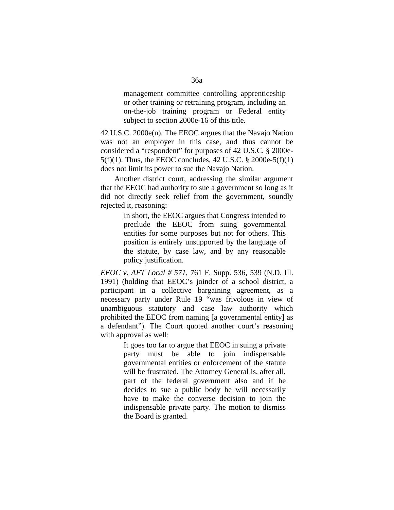management committee controlling apprenticeship or other training or retraining program, including an on-the-job training program or Federal entity subject to section 2000e-16 of this title.

42 U.S.C. 2000e(n). The EEOC argues that the Navajo Nation was not an employer in this case, and thus cannot be considered a "respondent" for purposes of 42 U.S.C. § 2000e- $5(f)(1)$ . Thus, the EEOC concludes, 42 U.S.C. § 2000e-5(f)(1) does not limit its power to sue the Navajo Nation.

Another district court, addressing the similar argument that the EEOC had authority to sue a government so long as it did not directly seek relief from the government, soundly rejected it, reasoning:

> In short, the EEOC argues that Congress intended to preclude the EEOC from suing governmental entities for some purposes but not for others. This position is entirely unsupported by the language of the statute, by case law, and by any reasonable policy justification.

*EEOC v. AFT Local # 571*, 761 F. Supp. 536, 539 (N.D. Ill. 1991) (holding that EEOC's joinder of a school district, a participant in a collective bargaining agreement, as a necessary party under Rule 19 "was frivolous in view of unambiguous statutory and case law authority which prohibited the EEOC from naming [a governmental entity] as a defendant"). The Court quoted another court's reasoning with approval as well:

> It goes too far to argue that EEOC in suing a private party must be able to join indispensable governmental entities or enforcement of the statute will be frustrated. The Attorney General is, after all, part of the federal government also and if he decides to sue a public body he will necessarily have to make the converse decision to join the indispensable private party. The motion to dismiss the Board is granted.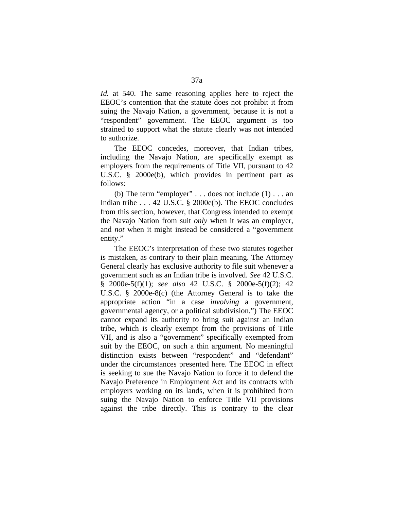*Id.* at 540. The same reasoning applies here to reject the EEOC's contention that the statute does not prohibit it from suing the Navajo Nation, a government, because it is not a "respondent" government. The EEOC argument is too strained to support what the statute clearly was not intended to authorize.

The EEOC concedes, moreover, that Indian tribes, including the Navajo Nation, are specifically exempt as employers from the requirements of Title VII, pursuant to 42 U.S.C. § 2000e(b), which provides in pertinent part as follows:

(b) The term "employer"  $\dots$  does not include (1)  $\dots$  an Indian tribe . . . 42 U.S.C. § 2000e(b). The EEOC concludes from this section, however, that Congress intended to exempt the Navajo Nation from suit *only* when it was an employer, and *not* when it might instead be considered a "government entity."

The EEOC's interpretation of these two statutes together is mistaken, as contrary to their plain meaning. The Attorney General clearly has exclusive authority to file suit whenever a government such as an Indian tribe is involved. *See* 42 U.S.C. § 2000e-5(f)(1); *see also* 42 U.S.C. § 2000e-5(f)(2); 42 U.S.C. § 2000e-8(c) (the Attorney General is to take the appropriate action "in a case *involving* a government, governmental agency, or a political subdivision.") The EEOC cannot expand its authority to bring suit against an Indian tribe, which is clearly exempt from the provisions of Title VII, and is also a "government" specifically exempted from suit by the EEOC, on such a thin argument. No meaningful distinction exists between "respondent" and "defendant" under the circumstances presented here. The EEOC in effect is seeking to sue the Navajo Nation to force it to defend the Navajo Preference in Employment Act and its contracts with employers working on its lands, when it is prohibited from suing the Navajo Nation to enforce Title VII provisions against the tribe directly. This is contrary to the clear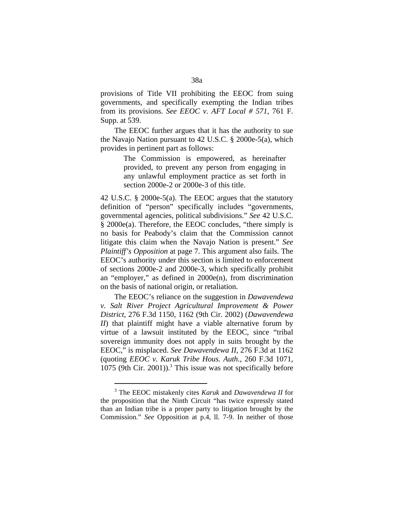provisions of Title VII prohibiting the EEOC from suing governments, and specifically exempting the Indian tribes from its provisions. *See EEOC v. AFT Local # 571*, 761 F. Supp. at 539.

The EEOC further argues that it has the authority to sue the Navajo Nation pursuant to 42 U.S.C. § 2000e-5(a), which provides in pertinent part as follows:

> The Commission is empowered, as hereinafter provided, to prevent any person from engaging in any unlawful employment practice as set forth in section 2000e-2 or 2000e-3 of this title.

42 U.S.C. § 2000e-5(a). The EEOC argues that the statutory definition of "person" specifically includes "governments, governmental agencies, political subdivisions." *See* 42 U.S.C. § 2000e(a). Therefore, the EEOC concludes, "there simply is no basis for Peabody's claim that the Commission cannot litigate this claim when the Navajo Nation is present." *See Plaintiff's Opposition* at page 7. This argument also fails. The EEOC's authority under this section is limited to enforcement of sections 2000e-2 and 2000e-3, which specifically prohibit an "employer," as defined in 2000e(n), from discrimination on the basis of national origin, or retaliation.

The EEOC's reliance on the suggestion in *Dawavendewa v. Salt River Project Agricultural Improvement & Power District*, 276 F.3d 1150, 1162 (9th Cir. 2002) (*Dawavendewa II*) that plaintiff might have a viable alternative forum by virtue of a lawsuit instituted by the EEOC, since "tribal sovereign immunity does not apply in suits brought by the EEOC," is misplaced. *See Dawavendewa II*, 276 F.3d at 1162 (quoting *EEOC v. Karuk Tribe Hous. Auth.*, 260 F.3d 1071, 1075 (9th Cir. 2001)).<sup>3</sup> This issue was not specifically before

<span id="page-37-0"></span> $\overline{a}$ 

<sup>3</sup> The EEOC mistakenly cites *Karuk* and *Dawavendewa II* for the proposition that the Ninth Circuit "has twice expressly stated than an Indian tribe is a proper party to litigation brought by the Commission." *See* Opposition at p.4, ll. 7-9. In neither of those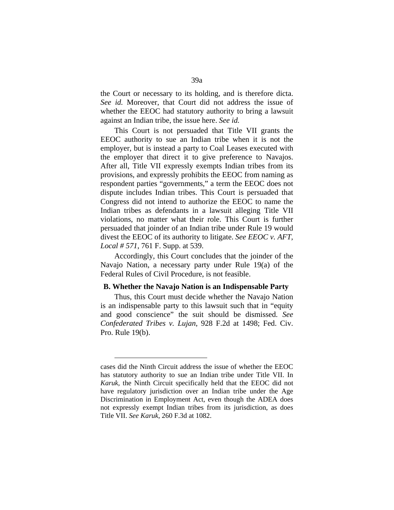the Court or necessary to its holding, and is therefore dicta. *See id.* Moreover, that Court did not address the issue of whether the EEOC had statutory authority to bring a lawsuit against an Indian tribe, the issue here. *See id.*

This Court is not persuaded that Title VII grants the EEOC authority to sue an Indian tribe when it is not the employer, but is instead a party to Coal Leases executed with the employer that direct it to give preference to Navajos. After all, Title VII expressly exempts Indian tribes from its provisions, and expressly prohibits the EEOC from naming as respondent parties "governments," a term the EEOC does not dispute includes Indian tribes. This Court is persuaded that Congress did not intend to authorize the EEOC to name the Indian tribes as defendants in a lawsuit alleging Title VII violations, no matter what their role. This Court is further persuaded that joinder of an Indian tribe under Rule 19 would divest the EEOC of its authority to litigate. *See EEOC v. AFT, Local # 571*, 761 F. Supp. at 539.

Accordingly, this Court concludes that the joinder of the Navajo Nation, a necessary party under Rule 19(a) of the Federal Rules of Civil Procedure, is not feasible.

#### **B. Whether the Navajo Nation is an Indispensable Party**

Thus, this Court must decide whether the Navajo Nation is an indispensable party to this lawsuit such that in "equity and good conscience" the suit should be dismissed. *See Confederated Tribes v. Lujan*, 928 F.2d at 1498; Fed. Civ. Pro. Rule 19(b).

 $\overline{a}$ 

cases did the Ninth Circuit address the issue of whether the EEOC has statutory authority to sue an Indian tribe under Title VII. In *Karuk,* the Ninth Circuit specifically held that the EEOC did not have regulatory jurisdiction over an Indian tribe under the Age Discrimination in Employment Act, even though the ADEA does not expressly exempt Indian tribes from its jurisdiction, as does Title VII. *See Karuk*, 260 F.3d at 1082.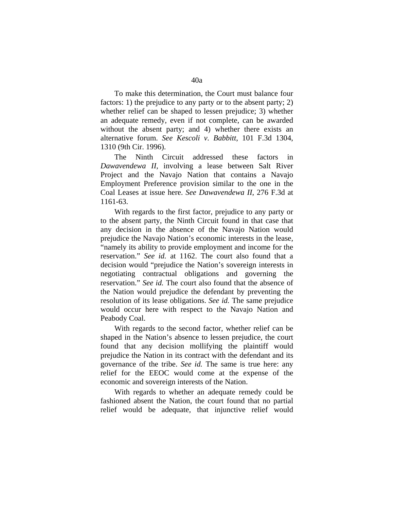To make this determination, the Court must balance four factors: 1) the prejudice to any party or to the absent party; 2) whether relief can be shaped to lessen prejudice; 3) whether an adequate remedy, even if not complete, can be awarded without the absent party; and 4) whether there exists an alternative forum. *See Kescoli v. Babbitt*, 101 F.3d 1304, 1310 (9th Cir. 1996).

The Ninth Circuit addressed these factors in *Dawavendewa II,* involving a lease between Salt River Project and the Navajo Nation that contains a Navajo Employment Preference provision similar to the one in the Coal Leases at issue here. *See Dawavendewa II*, 276 F.3d at 1161-63.

With regards to the first factor, prejudice to any party or to the absent party, the Ninth Circuit found in that case that any decision in the absence of the Navajo Nation would prejudice the Navajo Nation's economic interests in the lease, "namely its ability to provide employment and income for the reservation." *See id.* at 1162. The court also found that a decision would "prejudice the Nation's sovereign interests in negotiating contractual obligations and governing the reservation." *See id.* The court also found that the absence of the Nation would prejudice the defendant by preventing the resolution of its lease obligations. *See id.* The same prejudice would occur here with respect to the Navajo Nation and Peabody Coal.

With regards to the second factor, whether relief can be shaped in the Nation's absence to lessen prejudice, the court found that any decision mollifying the plaintiff would prejudice the Nation in its contract with the defendant and its governance of the tribe. *See id.* The same is true here: any relief for the EEOC would come at the expense of the economic and sovereign interests of the Nation.

With regards to whether an adequate remedy could be fashioned absent the Nation, the court found that no partial relief would be adequate, that injunctive relief would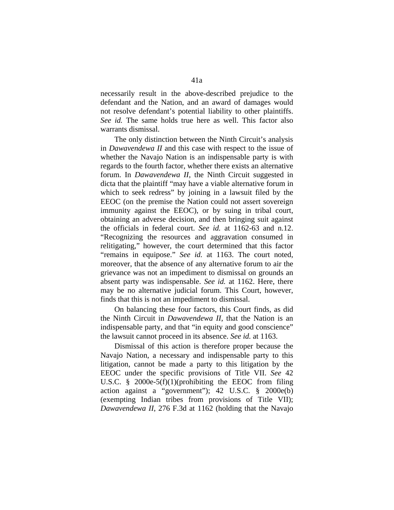necessarily result in the above-described prejudice to the defendant and the Nation, and an award of damages would not resolve defendant's potential liability to other plaintiffs. *See id.* The same holds true here as well. This factor also warrants dismissal.

The only distinction between the Ninth Circuit's analysis in *Dawavendewa II* and this case with respect to the issue of whether the Navajo Nation is an indispensable party is with regards to the fourth factor, whether there exists an alternative forum. In *Dawavendewa II*, the Ninth Circuit suggested in dicta that the plaintiff "may have a viable alternative forum in which to seek redress" by joining in a lawsuit filed by the EEOC (on the premise the Nation could not assert sovereign immunity against the EEOC), or by suing in tribal court, obtaining an adverse decision, and then bringing suit against the officials in federal court. *See id.* at 1162-63 and n.12. "Recognizing the resources and aggravation consumed in relitigating," however, the court determined that this factor "remains in equipose." *See id.* at 1163. The court noted, moreover, that the absence of any alternative forum to air the grievance was not an impediment to dismissal on grounds an absent party was indispensable. *See id.* at 1162. Here, there may be no alternative judicial forum. This Court, however, finds that this is not an impediment to dismissal.

On balancing these four factors, this Court finds, as did the Ninth Circuit in *Dawavendewa II*, that the Nation is an indispensable party, and that "in equity and good conscience" the lawsuit cannot proceed in its absence. *See id.* at 1163.

Dismissal of this action is therefore proper because the Navajo Nation, a necessary and indispensable party to this litigation, cannot be made a party to this litigation by the EEOC under the specific provisions of Title VII. *See* 42 U.S.C. § 2000e-5(f)(1)(prohibiting the EEOC from filing action against a "government"); 42 U.S.C. § 2000e(b) (exempting Indian tribes from provisions of Title VII); *Dawavendewa II*, 276 F.3d at 1162 (holding that the Navajo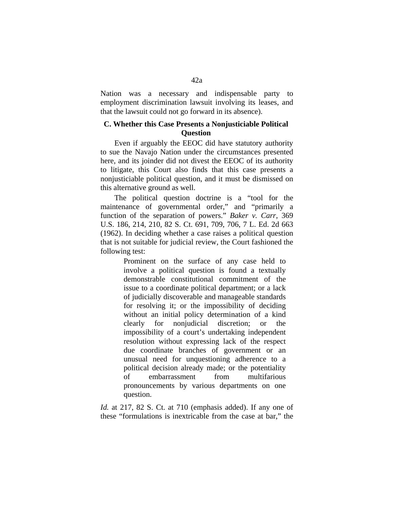Nation was a necessary and indispensable party to employment discrimination lawsuit involving its leases, and that the lawsuit could not go forward in its absence).

## **C. Whether this Case Presents a Nonjusticiable Political Question**

Even if arguably the EEOC did have statutory authority to sue the Navajo Nation under the circumstances presented here, and its joinder did not divest the EEOC of its authority to litigate, this Court also finds that this case presents a nonjusticiable political question, and it must be dismissed on this alternative ground as well.

The political question doctrine is a "tool for the maintenance of governmental order," and "primarily a function of the separation of powers." *Baker v. Carr*, 369 U.S. 186, 214, 210, 82 S. Ct. 691, 709, 706, 7 L. Ed. 2d 663 (1962). In deciding whether a case raises a political question that is not suitable for judicial review, the Court fashioned the following test:

> Prominent on the surface of any case held to involve a political question is found a textually demonstrable constitutional commitment of the issue to a coordinate political department; or a lack of judicially discoverable and manageable standards for resolving it; or the impossibility of deciding without an initial policy determination of a kind clearly for nonjudicial discretion; or the impossibility of a court's undertaking independent resolution without expressing lack of the respect due coordinate branches of government or an unusual need for unquestioning adherence to a political decision already made; or the potentiality of embarrassment from multifarious pronouncements by various departments on one question.

*Id.* at 217, 82 S. Ct. at 710 (emphasis added). If any one of these "formulations is inextricable from the case at bar," the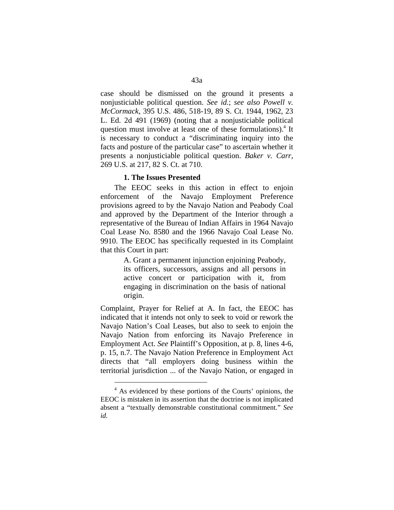case should be dismissed on the ground it presents a nonjusticiable political question. *See id.*; *see also Powell v. McCormack*, 395 U.S. 486, 518-19, 89 S. Ct. 1944, 1962, 23 L. Ed. 2d 491 (1969) (noting that a nonjusticiable political question must involve at least one of these formulations).<sup>4</sup> It is necessary to conduct a "discriminating inquiry into the facts and posture of the particular case" to ascertain whether it presents a nonjusticiable political question. *Baker v. Carr*, 269 U.S. at 217, 82 S. Ct. at 710.

## **1. The Issues Presented**

The EEOC seeks in this action in effect to enjoin enforcement of the Navajo Employment Preference provisions agreed to by the Navajo Nation and Peabody Coal and approved by the Department of the Interior through a representative of the Bureau of Indian Affairs in 1964 Navajo Coal Lease No. 8580 and the 1966 Navajo Coal Lease No. 9910. The EEOC has specifically requested in its Complaint that this Court in part:

> A. Grant a permanent injunction enjoining Peabody, its officers, successors, assigns and all persons in active concert or participation with it, from engaging in discrimination on the basis of national origin.

Complaint, Prayer for Relief at A. In fact, the EEOC has indicated that it intends not only to seek to void or rework the Navajo Nation's Coal Leases, but also to seek to enjoin the Navajo Nation from enforcing its Navajo Preference in Employment Act. *See* Plaintiff's Opposition, at p. 8, lines 4-6, p. 15, n.7. The Navajo Nation Preference in Employment Act directs that "all employers doing business within the territorial jurisdiction ... of the Navajo Nation, or engaged in

<span id="page-42-0"></span> $\overline{a}$ 

<sup>&</sup>lt;sup>4</sup> As evidenced by these portions of the Courts' opinions, the EEOC is mistaken in its assertion that the doctrine is not implicated absent a "textually demonstrable constitutional commitment." *See id.*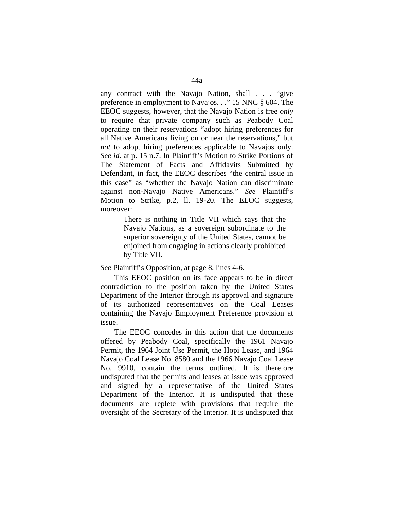any contract with the Navajo Nation, shall . . . "give preference in employment to Navajos. . ." 15 NNC § 604. The EEOC suggests, however, that the Navajo Nation is free *only* to require that private company such as Peabody Coal operating on their reservations "adopt hiring preferences for all Native Americans living on or near the reservations," but *not* to adopt hiring preferences applicable to Navajos only. *See id.* at p. 15 n.7. In Plaintiff's Motion to Strike Portions of The Statement of Facts and Affidavits Submitted by Defendant, in fact, the EEOC describes "the central issue in this case" as "whether the Navajo Nation can discriminate against non-Navajo Native Americans." *See* Plaintiff's Motion to Strike, p.2, ll. 19-20. The EEOC suggests, moreover:

> There is nothing in Title VII which says that the Navajo Nations, as a sovereign subordinate to the superior sovereignty of the United States, cannot be enjoined from engaging in actions clearly prohibited by Title VII.

*See* Plaintiff's Opposition, at page 8, lines 4-6.

This EEOC position on its face appears to be in direct contradiction to the position taken by the United States Department of the Interior through its approval and signature of its authorized representatives on the Coal Leases containing the Navajo Employment Preference provision at issue.

The EEOC concedes in this action that the documents offered by Peabody Coal, specifically the 1961 Navajo Permit, the 1964 Joint Use Permit, the Hopi Lease, and 1964 Navajo Coal Lease No. 8580 and the 1966 Navajo Coal Lease No. 9910, contain the terms outlined. It is therefore undisputed that the permits and leases at issue was approved and signed by a representative of the United States Department of the Interior. It is undisputed that these documents are replete with provisions that require the oversight of the Secretary of the Interior. It is undisputed that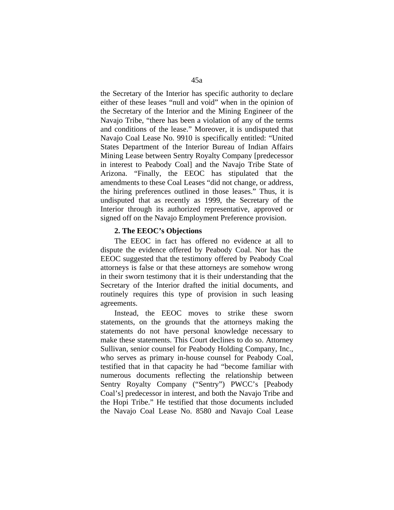the Secretary of the Interior has specific authority to declare either of these leases "null and void" when in the opinion of the Secretary of the Interior and the Mining Engineer of the Navajo Tribe, "there has been a violation of any of the terms and conditions of the lease." Moreover, it is undisputed that Navajo Coal Lease No. 9910 is specifically entitled: "United States Department of the Interior Bureau of Indian Affairs Mining Lease between Sentry Royalty Company [predecessor in interest to Peabody Coal] and the Navajo Tribe State of Arizona. "Finally, the EEOC has stipulated that the amendments to these Coal Leases "did not change, or address, the hiring preferences outlined in those leases." Thus, it is undisputed that as recently as 1999, the Secretary of the Interior through its authorized representative, approved or signed off on the Navajo Employment Preference provision.

#### **2. The EEOC's Objections**

The EEOC in fact has offered no evidence at all to dispute the evidence offered by Peabody Coal. Nor has the EEOC suggested that the testimony offered by Peabody Coal attorneys is false or that these attorneys are somehow wrong in their sworn testimony that it is their understanding that the Secretary of the Interior drafted the initial documents, and routinely requires this type of provision in such leasing agreements.

Instead, the EEOC moves to strike these sworn statements, on the grounds that the attorneys making the statements do not have personal knowledge necessary to make these statements. This Court declines to do so. Attorney Sullivan, senior counsel for Peabody Holding Company, Inc., who serves as primary in-house counsel for Peabody Coal, testified that in that capacity he had "become familiar with numerous documents reflecting the relationship between Sentry Royalty Company ("Sentry") PWCC's [Peabody Coal's] predecessor in interest, and both the Navajo Tribe and the Hopi Tribe." He testified that those documents included the Navajo Coal Lease No. 8580 and Navajo Coal Lease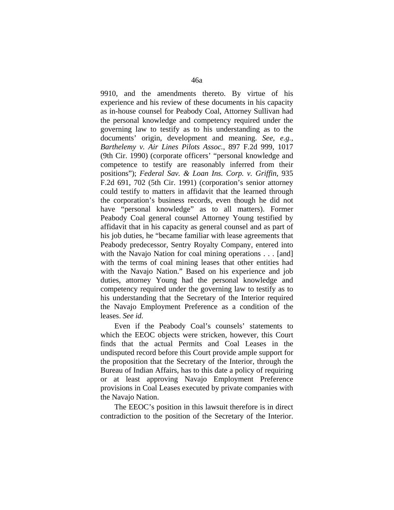9910, and the amendments thereto. By virtue of his experience and his review of these documents in his capacity as in-house counsel for Peabody Coal, Attorney Sullivan had the personal knowledge and competency required under the governing law to testify as to his understanding as to the documents' origin, development and meaning. *See, e.g., Barthelemy v. Air Lines Pilots Assoc.*, 897 F.2d 999, 1017 (9th Cir. 1990) (corporate officers' "personal knowledge and competence to testify are reasonably inferred from their positions"); *Federal Sav. & Loan Ins. Corp. v. Griffin*, 935 F.2d 691, 702 (5th Cir. 1991) (corporation's senior attorney could testify to matters in affidavit that the learned through the corporation's business records, even though he did not have "personal knowledge" as to all matters). Former Peabody Coal general counsel Attorney Young testified by affidavit that in his capacity as general counsel and as part of his job duties, he "became familiar with lease agreements that Peabody predecessor, Sentry Royalty Company, entered into with the Navajo Nation for coal mining operations . . . [and] with the terms of coal mining leases that other entities had with the Navajo Nation." Based on his experience and job duties, attorney Young had the personal knowledge and competency required under the governing law to testify as to his understanding that the Secretary of the Interior required the Navajo Employment Preference as a condition of the leases. *See id.*

Even if the Peabody Coal's counsels' statements to which the EEOC objects were stricken, however, this Court finds that the actual Permits and Coal Leases in the undisputed record before this Court provide ample support for the proposition that the Secretary of the Interior, through the Bureau of Indian Affairs, has to this date a policy of requiring or at least approving Navajo Employment Preference provisions in Coal Leases executed by private companies with the Navajo Nation.

The EEOC's position in this lawsuit therefore is in direct contradiction to the position of the Secretary of the Interior.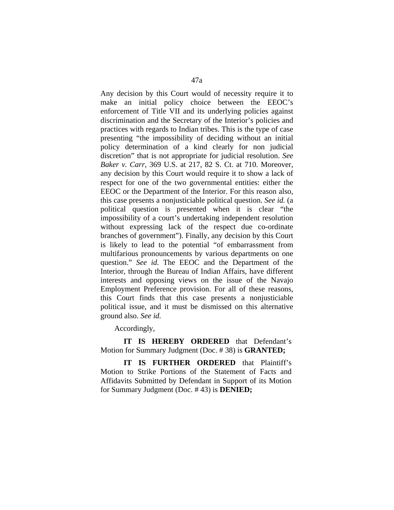Any decision by this Court would of necessity require it to make an initial policy choice between the EEOC's enforcement of Title VII and its underlying policies against discrimination and the Secretary of the Interior's policies and practices with regards to Indian tribes. This is the type of case presenting "the impossibility of deciding without an initial policy determination of a kind clearly for non judicial discretion" that is not appropriate for judicial resolution. *See Baker v. Carr*, 369 U.S. at 217, 82 S. Ct. at 710. Moreover, any decision by this Court would require it to show a lack of respect for one of the two governmental entities: either the EEOC or the Department of the Interior. For this reason also, this case presents a nonjusticiable political question. *See id.* (a political question is presented when it is clear "the impossibility of a court's undertaking independent resolution without expressing lack of the respect due co-ordinate branches of government"). Finally, any decision by this Court is likely to lead to the potential "of embarrassment from multifarious pronouncements by various departments on one question." *See id.* The EEOC and the Department of the Interior, through the Bureau of Indian Affairs, have different interests and opposing views on the issue of the Navajo Employment Preference provision. For all of these reasons, this Court finds that this case presents a nonjusticiable political issue, and it must be dismissed on this alternative ground also. *See id.*

Accordingly,

**IT IS HEREBY ORDERED** that Defendant's Motion for Summary Judgment (Doc. # 38) is **GRANTED;**

**IT IS FURTHER ORDERED** that Plaintiff's Motion to Strike Portions of the Statement of Facts and Affidavits Submitted by Defendant in Support of its Motion for Summary Judgment (Doc. # 43) is **DENIED;**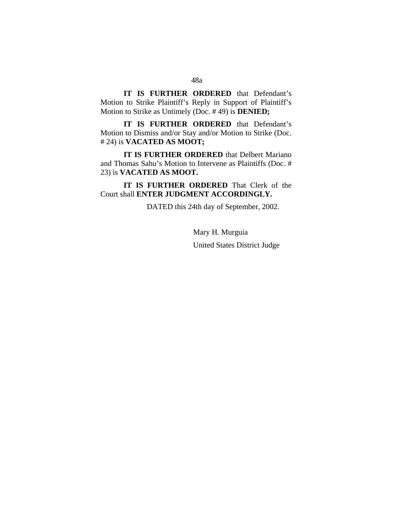**IT IS FURTHER ORDERED** that Defendant's Motion to Strike Plaintiff's Reply in Support of Plaintiff's Motion to Strike as Untimely (Doc. # 49) is **DENIED;**

**IT IS FURTHER ORDERED** that Defendant's Motion to Dismiss and/or Stay and/or Motion to Strike (Doc. # 24) is **VACATED AS MOOT;**

**IT IS FURTHER ORDERED** that Delbert Mariano and Thomas Sahu's Motion to Intervene as Plaintiffs (Doc. # 23) is **VACATED AS MOOT.**

**IT IS FURTHER ORDERED** That Clerk of the Court shall **ENTER JUDGMENT ACCORDINGLY.**

DATED this 24th day of September, 2002.

Mary H. Murguia United States District Judge